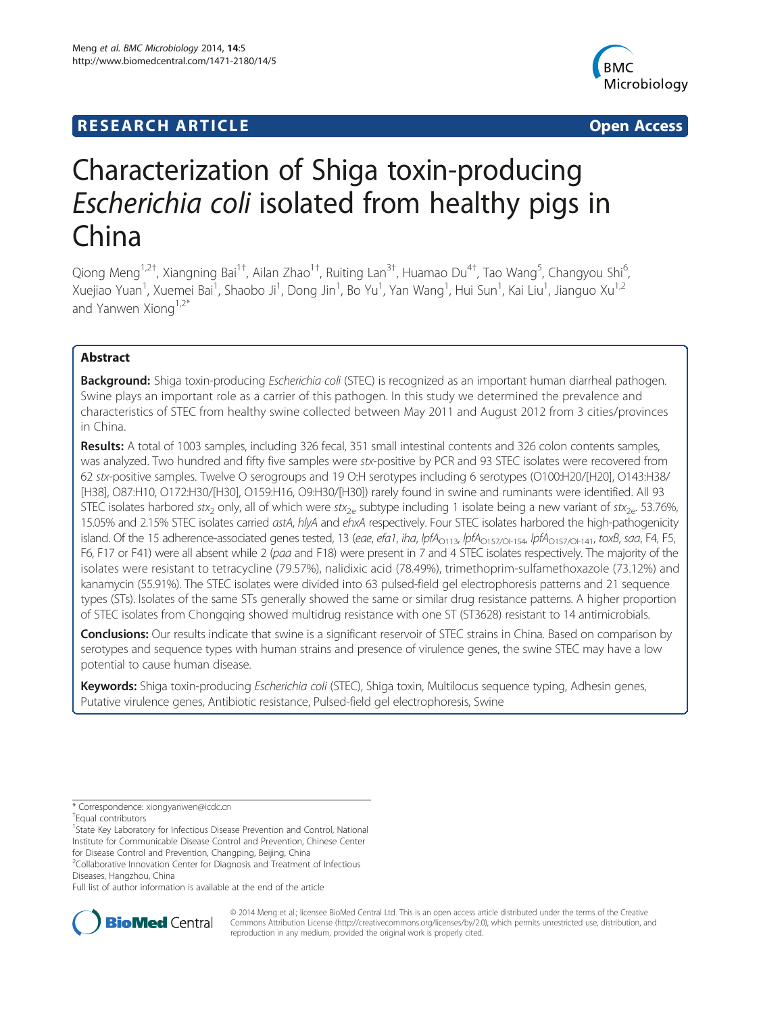## **RESEARCH ARTICLE Example 2014 12:30 The SEAR CHIPS 2014 12:30 The SEAR CHIPS 2014 12:30 The SEAR CHIPS 2014 12:30**



# Characterization of Shiga toxin-producing Escherichia coli isolated from healthy pigs in China

Qiong Meng<sup>1,2†</sup>, Xiangning Bai<sup>1†</sup>, Ailan Zhao<sup>1†</sup>, Ruiting Lan<sup>3†</sup>, Huamao Du<sup>4†</sup>, Tao Wang<sup>5</sup>, Changyou Shi<sup>6</sup> י<br>, Xuejiao Yuan<sup>1</sup>, Xuemei Bai<sup>1</sup>, Shaobo Ji<sup>1</sup>, Dong Jin<sup>1</sup>, Bo Yu<sup>1</sup>, Yan Wang<sup>1</sup>, Hui Sun<sup>1</sup>, Kai Liu<sup>1</sup>, Jianguo Xu<sup>1,2</sup> and Yanwen Xiong $1,2^*$ 

## Abstract

Background: Shiga toxin-producing Escherichia coli (STEC) is recognized as an important human diarrheal pathogen. Swine plays an important role as a carrier of this pathogen. In this study we determined the prevalence and characteristics of STEC from healthy swine collected between May 2011 and August 2012 from 3 cities/provinces in China.

Results: A total of 1003 samples, including 326 fecal, 351 small intestinal contents and 326 colon contents samples, was analyzed. Two hundred and fifty five samples were stx-positive by PCR and 93 STEC isolates were recovered from 62 stx-positive samples. Twelve O serogroups and 19 O:H serotypes including 6 serotypes (O100:H20/[H20], O143:H38/ [H38], O87:H10, O172:H30/[H30], O159:H16, O9:H30/[H30]) rarely found in swine and ruminants were identified. All 93 STEC isolates harbored stx<sub>2</sub> only, all of which were stx<sub>2e</sub> subtype including 1 isolate being a new variant of stx<sub>2e</sub>. 53.76%, 15.05% and 2.15% STEC isolates carried astA, hlyA and ehxA respectively. Four STEC isolates harbored the high-pathogenicity island. Of the 15 adherence-associated genes tested, 13 (eae, efa1, iha, lpfA<sub>O113</sub>, lpfA<sub>O157/OI-154</sub>, lpfA<sub>O157/OI-141</sub>, toxB, saa, F4, F5, F6, F17 or F41) were all absent while 2 (paa and F18) were present in 7 and 4 STEC isolates respectively. The majority of the isolates were resistant to tetracycline (79.57%), nalidixic acid (78.49%), trimethoprim-sulfamethoxazole (73.12%) and kanamycin (55.91%). The STEC isolates were divided into 63 pulsed-field gel electrophoresis patterns and 21 sequence types (STs). Isolates of the same STs generally showed the same or similar drug resistance patterns. A higher proportion of STEC isolates from Chongqing showed multidrug resistance with one ST (ST3628) resistant to 14 antimicrobials.

Conclusions: Our results indicate that swine is a significant reservoir of STEC strains in China. Based on comparison by serotypes and sequence types with human strains and presence of virulence genes, the swine STEC may have a low potential to cause human disease.

Keywords: Shiga toxin-producing Escherichia coli (STEC), Shiga toxin, Multilocus sequence typing, Adhesin genes, Putative virulence genes, Antibiotic resistance, Pulsed-field gel electrophoresis, Swine

\* Correspondence: [xiongyanwen@icdc.cn](mailto:xiongyanwen@icdc.cn) †

Equal contributors

<sup>1</sup>State Key Laboratory for Infectious Disease Prevention and Control, National Institute for Communicable Disease Control and Prevention, Chinese Center for Disease Control and Prevention, Changping, Beijing, China

<sup>2</sup>Collaborative Innovation Center for Diagnosis and Treatment of Infectious Diseases, Hangzhou, China

Full list of author information is available at the end of the article



© 2014 Meng et al.; licensee BioMed Central Ltd. This is an open access article distributed under the terms of the Creative Commons Attribution License [\(http://creativecommons.org/licenses/by/2.0\)](http://creativecommons.org/licenses/by/2.0), which permits unrestricted use, distribution, and reproduction in any medium, provided the original work is properly cited.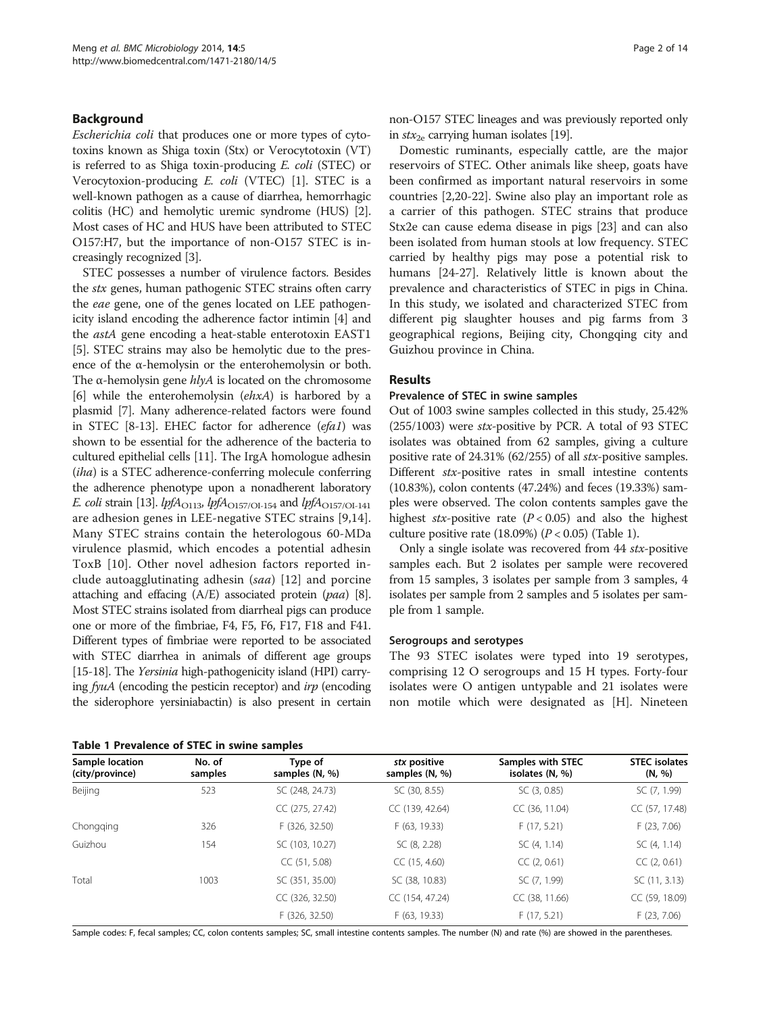## **Background**

Escherichia coli that produces one or more types of cytotoxins known as Shiga toxin (Stx) or Verocytotoxin (VT) is referred to as Shiga toxin-producing E. coli (STEC) or Verocytoxion-producing E. coli (VTEC) [\[1](#page-11-0)]. STEC is a well-known pathogen as a cause of diarrhea, hemorrhagic colitis (HC) and hemolytic uremic syndrome (HUS) [[2](#page-11-0)]. Most cases of HC and HUS have been attributed to STEC O157:H7, but the importance of non-O157 STEC is increasingly recognized [[3\]](#page-11-0).

STEC possesses a number of virulence factors. Besides the stx genes, human pathogenic STEC strains often carry the eae gene, one of the genes located on LEE pathogenicity island encoding the adherence factor intimin [[4](#page-11-0)] and the astA gene encoding a heat-stable enterotoxin EAST1 [[5\]](#page-11-0). STEC strains may also be hemolytic due to the presence of the α-hemolysin or the enterohemolysin or both. The  $\alpha$ -hemolysin gene  $h l y A$  is located on the chromosome [[6\]](#page-12-0) while the enterohemolysin (ehxA) is harbored by a plasmid [\[7](#page-12-0)]. Many adherence-related factors were found in STEC [[8-13\]](#page-12-0). EHEC factor for adherence (efa1) was shown to be essential for the adherence of the bacteria to cultured epithelial cells [[11\]](#page-12-0). The IrgA homologue adhesin (iha) is a STEC adherence-conferring molecule conferring the adherence phenotype upon a nonadherent laboratory *E. coli* strain [\[13\]](#page-12-0). *lpfA*<sub>O113</sub>, *lpfA*<sub>O157/OI-154</sub> and *lpfA*<sub>O157/OI-141</sub> are adhesion genes in LEE-negative STEC strains [[9,14](#page-12-0)]. Many STEC strains contain the heterologous 60-MDa virulence plasmid, which encodes a potential adhesin ToxB [\[10](#page-12-0)]. Other novel adhesion factors reported include autoagglutinating adhesin (saa) [[12\]](#page-12-0) and porcine attaching and effacing  $(A/E)$  associated protein  $(paa)$  [[8](#page-12-0)]. Most STEC strains isolated from diarrheal pigs can produce one or more of the fimbriae, F4, F5, F6, F17, F18 and F41. Different types of fimbriae were reported to be associated with STEC diarrhea in animals of different age groups [[15](#page-12-0)-[18\]](#page-12-0). The *Yersinia* high-pathogenicity island (HPI) carrying fyuA (encoding the pesticin receptor) and irp (encoding the siderophore yersiniabactin) is also present in certain

Table 1 Prevalence of STEC in swine samples

non-O157 STEC lineages and was previously reported only in  $stx_{2e}$  carrying human isolates [[19](#page-12-0)].

Domestic ruminants, especially cattle, are the major reservoirs of STEC. Other animals like sheep, goats have been confirmed as important natural reservoirs in some countries [[2,](#page-11-0)[20-22](#page-12-0)]. Swine also play an important role as a carrier of this pathogen. STEC strains that produce Stx2e can cause edema disease in pigs [\[23\]](#page-12-0) and can also been isolated from human stools at low frequency. STEC carried by healthy pigs may pose a potential risk to humans [\[24](#page-12-0)-[27\]](#page-12-0). Relatively little is known about the prevalence and characteristics of STEC in pigs in China. In this study, we isolated and characterized STEC from different pig slaughter houses and pig farms from 3 geographical regions, Beijing city, Chongqing city and Guizhou province in China.

#### Results

#### Prevalence of STEC in swine samples

Out of 1003 swine samples collected in this study, 25.42%  $(255/1003)$  were stx-positive by PCR. A total of 93 STEC isolates was obtained from 62 samples, giving a culture positive rate of 24.31% (62/255) of all stx-positive samples. Different stx-positive rates in small intestine contents (10.83%), colon contents (47.24%) and feces (19.33%) samples were observed. The colon contents samples gave the highest stx-positive rate  $(P < 0.05)$  and also the highest culture positive rate (18.09%) ( $P < 0.05$ ) (Table 1).

Only a single isolate was recovered from 44 stx-positive samples each. But 2 isolates per sample were recovered from 15 samples, 3 isolates per sample from 3 samples, 4 isolates per sample from 2 samples and 5 isolates per sample from 1 sample.

#### Serogroups and serotypes

The 93 STEC isolates were typed into 19 serotypes, comprising 12 O serogroups and 15 H types. Forty-four isolates were O antigen untypable and 21 isolates were non motile which were designated as [H]. Nineteen

| Sample location<br>(city/province) | No. of<br>samples | Type of<br>samples (N, %) | stx positive<br>samples (N, %) | Samples with STEC<br>isolates $(N, %)$ | <b>STEC</b> isolates<br>(N, %) |
|------------------------------------|-------------------|---------------------------|--------------------------------|----------------------------------------|--------------------------------|
| Beijing                            | 523               | SC (248, 24.73)           | SC (30, 8.55)                  | SC (3, 0.85)                           | SC (7, 1.99)                   |
|                                    |                   | CC (275, 27.42)           | CC (139, 42.64)                | CC (36, 11.04)                         | CC (57, 17.48)                 |
| Chongging                          | 326               | F (326, 32.50)            | F (63, 19.33)                  | F(17, 5.21)                            | F(23, 7.06)                    |
| Guizhou                            | 154               | SC (103, 10.27)           | SC (8, 2.28)                   | SC (4, 1.14)                           | SC (4, 1.14)                   |
|                                    |                   | CC(51, 5.08)              | CC(15, 4.60)                   | CC(2, 0.61)                            | CC(2, 0.61)                    |
| Total                              | 1003              | SC (351, 35.00)           | SC (38, 10.83)                 | SC (7, 1.99)                           | SC (11, 3.13)                  |
|                                    |                   | CC (326, 32.50)           | CC (154, 47.24)                | CC (38, 11.66)                         | CC (59, 18.09)                 |
|                                    |                   | F (326, 32.50)            | F (63, 19.33)                  | F(17, 5.21)                            | F(23, 7.06)                    |

Sample codes: F, fecal samples; CC, colon contents samples; SC, small intestine contents samples. The number (N) and rate (%) are showed in the parentheses.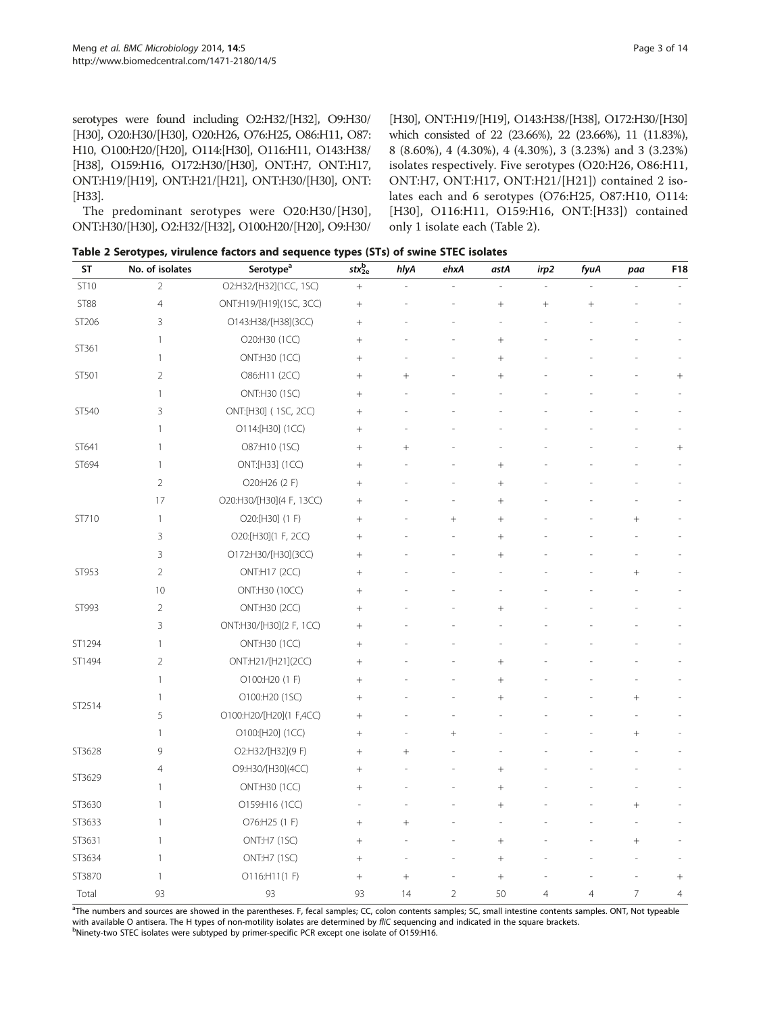<span id="page-2-0"></span>serotypes were found including O2:H32/[H32], O9:H30/ [H30], O20:H30/[H30], O20:H26, O76:H25, O86:H11, O87: H10, O100:H20/[H20], O114:[H30], O116:H11, O143:H38/ [H38], O159:H16, O172:H30/[H30], ONT:H7, ONT:H17, ONT:H19/[H19], ONT:H21/[H21], ONT:H30/[H30], ONT: [H33].

The predominant serotypes were O20:H30/[H30], ONT:H30/[H30], O2:H32/[H32], O100:H20/[H20], O9:H30/

[H30], ONT:H19/[H19], O143:H38/[H38], O172:H30/[H30] which consisted of 22 (23.66%), 22 (23.66%), 11 (11.83%), 8 (8.60%), 4 (4.30%), 4 (4.30%), 3 (3.23%) and 3 (3.23%) isolates respectively. Five serotypes (O20:H26, O86:H11, ONT:H7, ONT:H17, ONT:H21/[H21]) contained 2 isolates each and 6 serotypes (O76:H25, O87:H10, O114: [H30], O116:H11, O159:H16, ONT:[H33]) contained only 1 isolate each (Table 2).

Table 2 Serotypes, virulence factors and sequence types (STs) of swine STEC isolates

| <b>ST</b>   | No. of isolates | Serotype <sup>a</sup>    | $\mathsf{str}^\mathsf{b}_\mathsf{2e}$ | hlyA   | ehxA           | astA   | irp2           | fyuA           | paa            | F18             |
|-------------|-----------------|--------------------------|---------------------------------------|--------|----------------|--------|----------------|----------------|----------------|-----------------|
| <b>ST10</b> | $\overline{2}$  | O2:H32/[H32](1CC, 1SC)   | $\boldsymbol{+}$                      |        |                |        |                |                |                |                 |
| <b>ST88</b> | 4               | ONT:H19/[H19](1SC, 3CC)  | $^{+}$                                |        |                |        | $^{+}$         |                |                |                 |
| ST206       | 3               | O143:H38/[H38](3CC)      | $^+$                                  |        |                |        |                |                |                |                 |
|             | 1               | O20:H30 (1CC)            | $^{+}$                                |        |                |        |                |                |                |                 |
| ST361       | 1               | ONT:H30 (1CC)            | $+$                                   |        |                | $^{+}$ |                |                |                |                 |
| ST501       | 2               | O86:H11 (2CC)            | $\! + \!\!\!\!$                       |        |                | $^{+}$ |                |                |                | $^{+}$          |
|             | 1               | ONT:H30 (1SC)            | $^{+}$                                |        |                |        |                |                |                |                 |
| ST540       | 3               | ONT:[H30] (1SC, 2CC)     | $\! + \!\!\!\!$                       |        |                |        |                |                |                |                 |
|             | 1               | O114:[H30] (1CC)         |                                       |        |                |        |                |                |                |                 |
| ST641       | 1               | O87:H10 (1SC)            | $^{+}$                                | $^{+}$ |                |        |                |                |                | $^{+}$          |
| ST694       | 1               | ONT:[H33] (1CC)          | $+$                                   |        |                | $^{+}$ |                |                |                |                 |
|             | $\overline{2}$  | O20:H26 (2 F)            |                                       |        |                |        |                |                |                |                 |
|             | 17              | O20:H30/[H30](4 F, 13CC) | $^{+}$                                |        |                | $^{+}$ |                |                |                |                 |
| ST710       | 1               | O20:[H30] (1 F)          | $^{+}$                                |        | $^{+}$         |        |                |                |                |                 |
|             | 3               | O20:[H30](1 F, 2CC)      |                                       |        |                | $^{+}$ |                |                |                |                 |
|             | 3               | O172:H30/[H30](3CC)      | $+$                                   |        |                | $^{+}$ |                |                |                |                 |
| ST953       | $\overline{2}$  | ONT:H17 (2CC)            | $^{+}$                                |        |                |        |                |                | $^{+}$         |                 |
|             | 10              | ONT:H30 (10CC)           | $^{+}$                                |        |                |        |                |                |                |                 |
| ST993       | $\overline{2}$  | ONT:H30 (2CC)            | $^{+}$                                |        |                | $^{+}$ |                |                |                |                 |
|             | 3               | ONT:H30/[H30](2 F, 1CC)  |                                       |        |                |        |                |                |                |                 |
| ST1294      | 1               | ONT:H30 (1CC)            | $^{+}$                                |        |                |        |                |                |                |                 |
| ST1494      | $\overline{2}$  | ONT:H21/[H21](2CC)       | $^{+}$                                |        |                | $^{+}$ |                |                |                |                 |
|             | 1               | O100:H20 (1 F)           | $\! + \!\!\!\!$                       |        |                | $^{+}$ |                |                |                |                 |
|             | 1               | O100:H20 (1SC)           | $^{+}$                                |        |                | $^{+}$ |                |                | $\! + \!$      |                 |
| ST2514      | 5               | O100:H20/[H20](1 F,4CC)  | $+$                                   |        |                |        |                |                |                |                 |
|             | 1               | O100:[H20] (1CC)         |                                       |        | $^{+}$         |        |                |                | $^+$           |                 |
| ST3628      | 9               | O2:H32/[H32](9 F)        | $^{+}$                                | $^{+}$ |                |        |                |                |                |                 |
|             | 4               | O9:H30/[H30](4CC)        | $^{+}$                                |        |                | $^{+}$ |                |                |                |                 |
| ST3629      | $\mathbf{1}$    | ONT:H30 (1CC)            |                                       |        |                | $^{+}$ |                |                |                |                 |
| ST3630      | $\mathbf{1}$    | O159:H16 (1CC)           | ä,                                    |        |                | $^{+}$ |                |                | $^+$           |                 |
| ST3633      | 1               | O76:H25 (1 F)            |                                       | $^{+}$ |                |        |                |                |                |                 |
| ST3631      | 1               | ONT:H7 (1SC)             | $^{+}$                                |        |                |        |                |                | $^{+}$         |                 |
| ST3634      | $\mathbf{1}$    | ONT:H7 (1SC)             | $\! + \!\!\!\!$                       |        |                | $^{+}$ |                |                |                |                 |
| ST3870      | 1               | O116:H11(1 F)            | $\! + \!\!\!\!$                       |        |                | $^{+}$ |                |                |                | $\! + \!\!\!\!$ |
| Total       | 93              | 93                       | 93                                    | 14     | $\overline{2}$ | 50     | $\overline{4}$ | $\overline{4}$ | $\overline{7}$ | $\overline{4}$  |

<sup>a</sup>The numbers and sources are showed in the parentheses. F, fecal samples; CC, colon contents samples; SC, small intestine contents samples. ONT, Not typeable with available O antisera. The H types of non-motility isolates are determined by fliC sequencing and indicated in the square brackets. <sup>b</sup>Ninety-two STEC isolates were subtyped by primer-specific PCR except one isolate of O159:H16.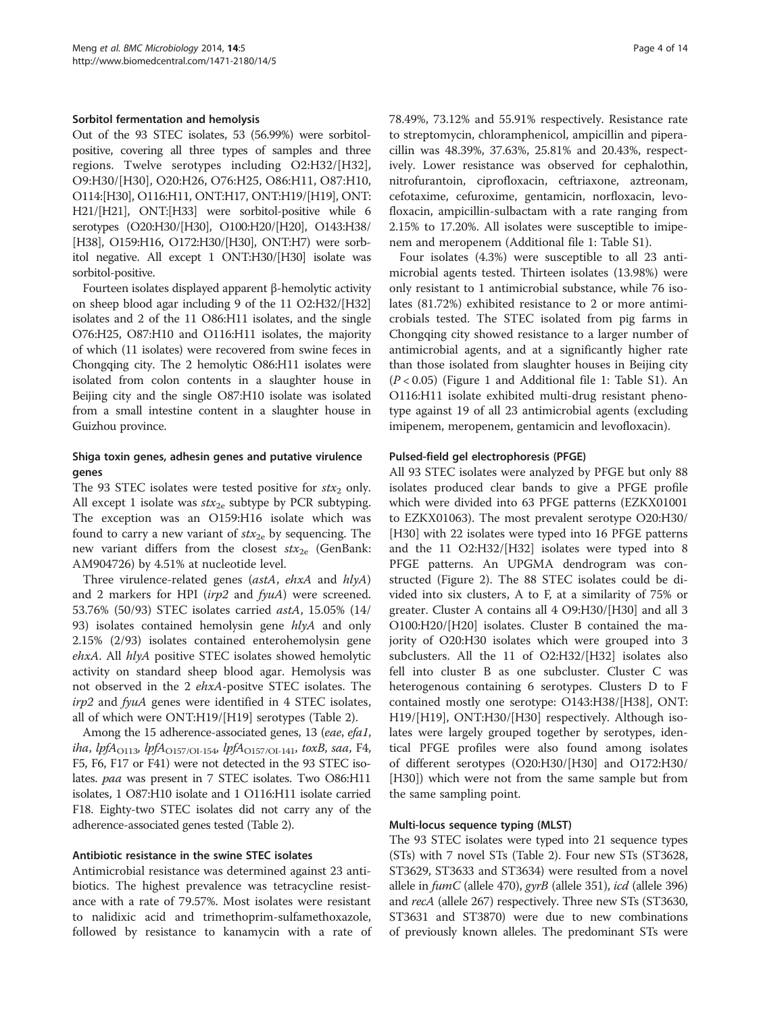#### Sorbitol fermentation and hemolysis

Out of the 93 STEC isolates, 53 (56.99%) were sorbitolpositive, covering all three types of samples and three regions. Twelve serotypes including O2:H32/[H32], O9:H30/[H30], O20:H26, O76:H25, O86:H11, O87:H10, O114:[H30], O116:H11, ONT:H17, ONT:H19/[H19], ONT: H21/[H21], ONT:[H33] were sorbitol-positive while 6 serotypes (O20:H30/[H30], O100:H20/[H20], O143:H38/ [H38], O159:H16, O172:H30/[H30], ONT:H7) were sorbitol negative. All except 1 ONT:H30/[H30] isolate was sorbitol-positive.

Fourteen isolates displayed apparent β-hemolytic activity on sheep blood agar including 9 of the 11 O2:H32/[H32] isolates and 2 of the 11 O86:H11 isolates, and the single O76:H25, O87:H10 and O116:H11 isolates, the majority of which (11 isolates) were recovered from swine feces in Chongqing city. The 2 hemolytic O86:H11 isolates were isolated from colon contents in a slaughter house in Beijing city and the single O87:H10 isolate was isolated from a small intestine content in a slaughter house in Guizhou province.

## Shiga toxin genes, adhesin genes and putative virulence genes

The 93 STEC isolates were tested positive for  $stx_2$  only. All except 1 isolate was  $\text{str}_{2e}$  subtype by PCR subtyping. The exception was an O159:H16 isolate which was found to carry a new variant of  $\text{str}_{2e}$  by sequencing. The new variant differs from the closest  $\textit{str}_{2e}$  (GenBank: AM904726) by 4.51% at nucleotide level.

Three virulence-related genes (astA, ehxA and hlyA) and 2 markers for HPI (irp2 and fyuA) were screened. 53.76% (50/93) STEC isolates carried astA, 15.05% (14/ 93) isolates contained hemolysin gene  $hlyA$  and only 2.15% (2/93) isolates contained enterohemolysin gene ehxA. All hlyA positive STEC isolates showed hemolytic activity on standard sheep blood agar. Hemolysis was not observed in the 2 ehxA-positve STEC isolates. The irp2 and fyuA genes were identified in 4 STEC isolates, all of which were ONT:H19/[H19] serotypes (Table [2](#page-2-0)).

Among the 15 adherence-associated genes, 13 (eae, efa1, iha, lpf $A_{\rm O113}$ , lpf $A_{\rm O157/OI\text{-}154}$ , lpf $A_{\rm O157/OI\text{-}141}$ , toxB, saa, F4, F5, F6, F17 or F41) were not detected in the 93 STEC isolates. *paa* was present in 7 STEC isolates. Two O86:H11 isolates, 1 O87:H10 isolate and 1 O116:H11 isolate carried F18. Eighty-two STEC isolates did not carry any of the adherence-associated genes tested (Table [2](#page-2-0)).

#### Antibiotic resistance in the swine STEC isolates

Antimicrobial resistance was determined against 23 antibiotics. The highest prevalence was tetracycline resistance with a rate of 79.57%. Most isolates were resistant to nalidixic acid and trimethoprim-sulfamethoxazole, followed by resistance to kanamycin with a rate of 78.49%, 73.12% and 55.91% respectively. Resistance rate to streptomycin, chloramphenicol, ampicillin and piperacillin was 48.39%, 37.63%, 25.81% and 20.43%, respectively. Lower resistance was observed for cephalothin, nitrofurantoin, ciprofloxacin, ceftriaxone, aztreonam, cefotaxime, cefuroxime, gentamicin, norfloxacin, levofloxacin, ampicillin-sulbactam with a rate ranging from 2.15% to 17.20%. All isolates were susceptible to imipenem and meropenem (Additional file [1](#page-11-0): Table S1).

Four isolates (4.3%) were susceptible to all 23 antimicrobial agents tested. Thirteen isolates (13.98%) were only resistant to 1 antimicrobial substance, while 76 isolates (81.72%) exhibited resistance to 2 or more antimicrobials tested. The STEC isolated from pig farms in Chongqing city showed resistance to a larger number of antimicrobial agents, and at a significantly higher rate than those isolated from slaughter houses in Beijing city  $(P < 0.05)$  (Figure [1](#page-11-0) and Additional file 1: Table S1). An O116:H11 isolate exhibited multi-drug resistant phenotype against 19 of all 23 antimicrobial agents (excluding imipenem, meropenem, gentamicin and levofloxacin).

#### Pulsed-field gel electrophoresis (PFGE)

All 93 STEC isolates were analyzed by PFGE but only 88 isolates produced clear bands to give a PFGE profile which were divided into 63 PFGE patterns (EZKX01001 to EZKX01063). The most prevalent serotype O20:H30/ [H30] with 22 isolates were typed into 16 PFGE patterns and the 11 O2:H32/[H32] isolates were typed into 8 PFGE patterns. An UPGMA dendrogram was constructed (Figure [2](#page-6-0)). The 88 STEC isolates could be divided into six clusters, A to F, at a similarity of 75% or greater. Cluster A contains all 4 O9:H30/[H30] and all 3 O100:H20/[H20] isolates. Cluster B contained the majority of O20:H30 isolates which were grouped into 3 subclusters. All the 11 of O2:H32/[H32] isolates also fell into cluster B as one subcluster. Cluster C was heterogenous containing 6 serotypes. Clusters D to F contained mostly one serotype: O143:H38/[H38], ONT: H19/[H19], ONT:H30/[H30] respectively. Although isolates were largely grouped together by serotypes, identical PFGE profiles were also found among isolates of different serotypes (O20:H30/[H30] and O172:H30/ [H30]) which were not from the same sample but from the same sampling point.

## Multi-locus sequence typing (MLST)

The 93 STEC isolates were typed into 21 sequence types (STs) with 7 novel STs (Table [2\)](#page-2-0). Four new STs (ST3628, ST3629, ST3633 and ST3634) were resulted from a novel allele in fumC (allele 470), gyrB (allele 351), icd (allele 396) and recA (allele 267) respectively. Three new STs (ST3630, ST3631 and ST3870) were due to new combinations of previously known alleles. The predominant STs were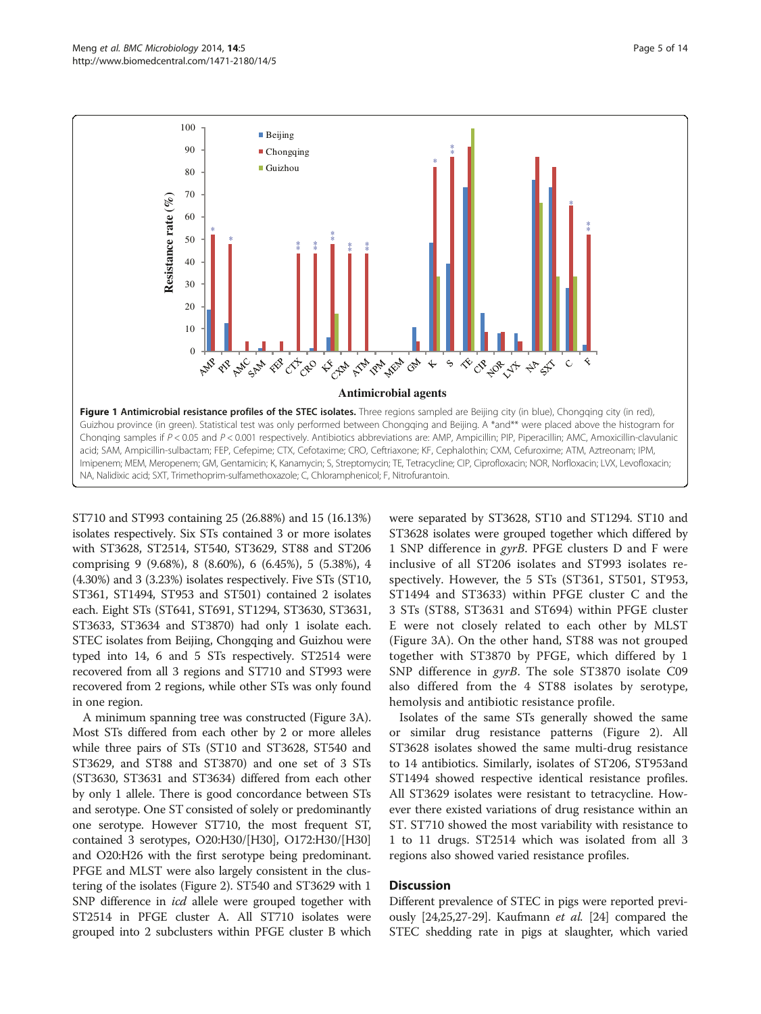<span id="page-4-0"></span>

ST710 and ST993 containing 25 (26.88%) and 15 (16.13%) isolates respectively. Six STs contained 3 or more isolates with ST3628, ST2514, ST540, ST3629, ST88 and ST206 comprising 9 (9.68%), 8 (8.60%), 6 (6.45%), 5 (5.38%), 4 (4.30%) and 3 (3.23%) isolates respectively. Five STs (ST10, ST361, ST1494, ST953 and ST501) contained 2 isolates each. Eight STs (ST641, ST691, ST1294, ST3630, ST3631, ST3633, ST3634 and ST3870) had only 1 isolate each. STEC isolates from Beijing, Chongqing and Guizhou were typed into 14, 6 and 5 STs respectively. ST2514 were recovered from all 3 regions and ST710 and ST993 were recovered from 2 regions, while other STs was only found in one region.

A minimum spanning tree was constructed (Figure [3](#page-7-0)A). Most STs differed from each other by 2 or more alleles while three pairs of STs (ST10 and ST3628, ST540 and ST3629, and ST88 and ST3870) and one set of 3 STs (ST3630, ST3631 and ST3634) differed from each other by only 1 allele. There is good concordance between STs and serotype. One ST consisted of solely or predominantly one serotype. However ST710, the most frequent ST, contained 3 serotypes, O20:H30/[H30], O172:H30/[H30] and O20:H26 with the first serotype being predominant. PFGE and MLST were also largely consistent in the clustering of the isolates (Figure [2](#page-6-0)). ST540 and ST3629 with 1 SNP difference in *icd* allele were grouped together with ST2514 in PFGE cluster A. All ST710 isolates were grouped into 2 subclusters within PFGE cluster B which were separated by ST3628, ST10 and ST1294. ST10 and ST3628 isolates were grouped together which differed by 1 SNP difference in gyrB. PFGE clusters D and F were inclusive of all ST206 isolates and ST993 isolates respectively. However, the 5 STs (ST361, ST501, ST953, ST1494 and ST3633) within PFGE cluster C and the 3 STs (ST88, ST3631 and ST694) within PFGE cluster E were not closely related to each other by MLST (Figure [3A](#page-7-0)). On the other hand, ST88 was not grouped together with ST3870 by PFGE, which differed by 1 SNP difference in *gyrB*. The sole ST3870 isolate C09 also differed from the 4 ST88 isolates by serotype, hemolysis and antibiotic resistance profile.

Isolates of the same STs generally showed the same or similar drug resistance patterns (Figure [2](#page-6-0)). All ST3628 isolates showed the same multi-drug resistance to 14 antibiotics. Similarly, isolates of ST206, ST953and ST1494 showed respective identical resistance profiles. All ST3629 isolates were resistant to tetracycline. However there existed variations of drug resistance within an ST. ST710 showed the most variability with resistance to 1 to 11 drugs. ST2514 which was isolated from all 3 regions also showed varied resistance profiles.

## Discussion

Different prevalence of STEC in pigs were reported previ-ously [\[24,25,27-29](#page-12-0)]. Kaufmann *et al.* [\[24\]](#page-12-0) compared the STEC shedding rate in pigs at slaughter, which varied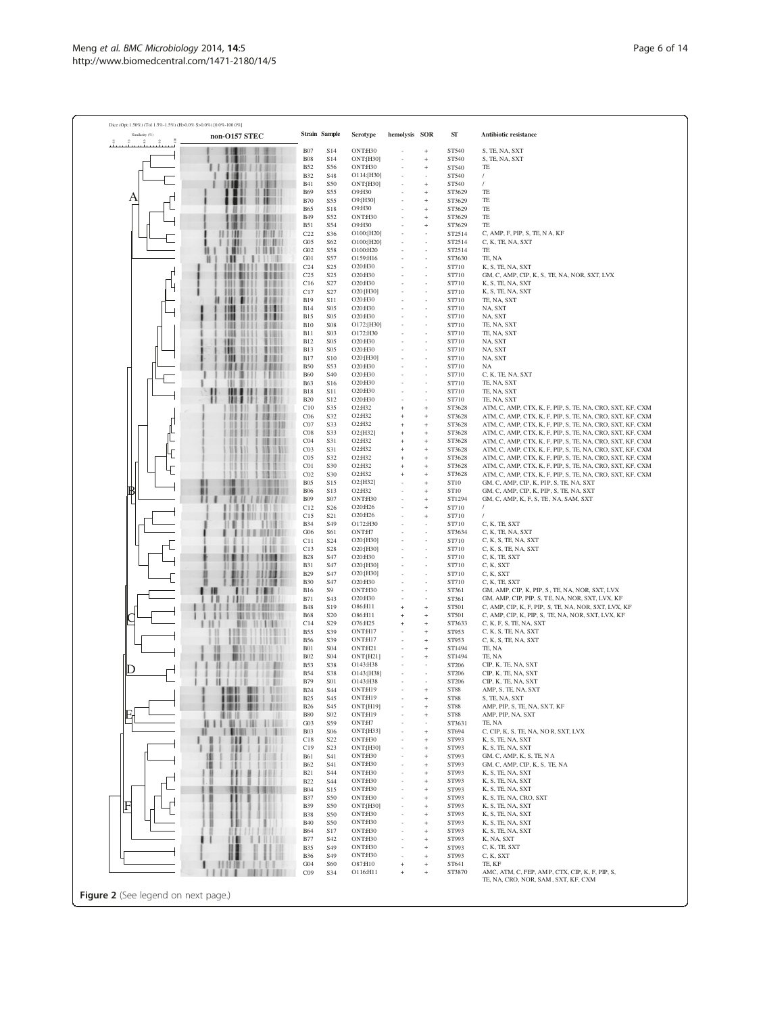Dice  $(Opt:1.50\%)$ 

A

B

C

 $\mathbf D$ 

E

F

| Strain Sample<br>hemolysis SOR<br>ONT:H30<br>ST540<br>S, TE, NA, SXT<br><b>B07</b><br>S14<br>$\overline{1}$<br>$\mathbf{H}$<br><b>BUIL</b><br><b>B08</b><br>S14<br>ONT:[H30]<br>ST540<br>S, TE, NA, SXT<br>ш<br>$\ddot{}$<br>11141<br><b>B52</b><br>ONT:H30<br>٠<br>S <sub>56</sub><br>ST540<br>TE<br>$\ddot{}$<br>O114:[H30]<br>$\prime$<br><b>B32</b><br>ST540<br>S48<br><b>ONT:[H30]</b><br>ST540<br>$\prime$<br><b>B41</b><br>S50<br>$\ddot{}$<br><b>H 1811</b><br><b>B69</b><br>S55<br>O9:H30<br>ST3629<br>TE<br>$\mathbf{1}$ in<br><b>B70</b><br>S55<br>O9:[H30]<br>TE<br>ST3629<br><b>B65</b><br><b>S18</b><br>O9:H30<br>ST3629<br>TE<br>л<br><b>B49</b><br>ONT:H30<br>S <sub>52</sub><br>ST3629<br>TE<br>1811<br><b>B51</b><br>O9:H30<br>S54<br>TE<br>ST3629<br>и<br>$\ddot{}$<br>и<br>1111<br>C22<br>S36<br>O100:[H20]<br>ST2514<br>C, AMP, F, PIP, S, TE, N A, KF<br>н<br>G05<br>S62<br>O100:[H20]<br>ST2514<br>C, K, TE, NA, SXT<br>Ш<br>           <br>G02<br><b>S58</b><br>O100:H20<br>ST2514<br>TE<br>Ш<br>G01<br>S57<br>O159:H16<br>ST3630<br>TE, NA<br><br>C <sub>24</sub><br>ST710<br>K, S, TE, NA, SXT<br>S <sub>25</sub><br>O20:H30<br><br>C <sub>25</sub><br>S <sub>25</sub><br>O20:H30<br>ST710<br>GM, C, AMP, CIP, K, S, TE, NA, NOR, SXT, LVX<br>Ш<br>C16<br>S27<br>O20:H30<br>ST710<br>K, S, TE, NA, SXT<br>O20:[H30]<br>C17<br>S <sub>27</sub><br>ST710<br>K, S, TE, NA, SXT<br><b>B19</b><br><b>S11</b><br>O20:H30<br>ST710<br>TE, NA, SXT<br>,,,,<br>8.14<br>8111<br>31131<br><b>B14</b><br>S <sub>05</sub><br>O20:H30<br>ST710<br>NA, SXT<br>,,,,<br>O20:H30<br><b>B15</b><br>S <sub>05</sub><br>NA, SXT<br>ST710<br><b>B10</b><br><b>S08</b><br>O172:[H30]<br>TE, NA, SXT<br>ST710<br>3,131<br>151<br><b>B11</b><br>S03<br>O172:H30<br>ST710<br>TE, NA, SXT<br>и<br>11111<br>Ħ<br>O20:H30<br><b>B12</b><br>S <sub>05</sub><br>ST710<br>NA, SXT<br>11111<br>11111<br><b>B13</b><br><b>S05</b><br>O20:H30<br>ST710<br>NA, SXT<br>11111<br>ш<br><b>B17</b><br>S10<br>O20:[H30]<br>ST710<br>NA, SXT<br>O20:H30<br><b>B50</b><br>S <sub>53</sub><br>ST710<br><b>NA</b><br>ST710<br>C, K, TE, NA, SXT<br>ш<br><b>B60</b><br>S <sub>40</sub><br>O20:H30<br>и<br><b>B63</b><br>O20:H30<br>ST710<br>TE, NA, SXT<br>S <sub>16</sub><br>O20:H30<br>TE, NA, SXT<br><br><b>B18</b><br>S <sub>11</sub><br>ST710<br><b>B20</b><br>S <sub>12</sub><br>O20:H30<br>ST710<br>TE, NA, SXT<br>Ш<br>C10<br><br>S35<br>O <sub>2</sub> :H <sub>32</sub><br>$\ddot{}$<br>ST3628<br>ATM, C, AMP, CTX, K, F, PIP, S, TE, NA, CRO, SXT, KF, CXM<br>O2:H32<br>11111<br>88 8 8 9<br>C <sub>06</sub><br>S32<br>ST3628<br>$\ddot{}$<br>ATM, C, AMP, CTX, K, F, PIP, S, TE, NA, CRO, SXT, KF, CXM<br>O2:H32<br>ST3628<br>333<br>CO7<br>S33<br>ATM, C, AMP, CTX, K, F, PIP, S, TE, NA, CRO, SXT, KF, CXM<br>ш<br>$\ddot{}$<br>ш<br>ш<br>CO8<br>S33<br>O2:[H32]<br>ST3628<br>ATM, C, AMP, CTX, K, F, PIP, S, TE, NA, CRO, SXT, KF, CXM<br><br>$\ddot{}$<br>O2:H32<br>ST3628<br>ш<br>CO <sub>4</sub><br>S31<br>$\ddot{}$<br>ATM, C, AMP, CTX, K, F, PIP, S, TE, NA, CRO, SXT, KF, CXM<br>Ш<br>CO <sub>3</sub><br>S31<br>O2:H32<br>ST3628<br>ш<br>$\ddot{}$<br>ш<br>CO <sub>5</sub><br>S32<br>O2:H32<br>ST3628<br>$\ddot{}$<br>O2:H32<br>CO1<br>S <sub>30</sub><br>ST3628<br>$\ddot{}$<br>Ш<br>CO <sub>2</sub><br>O2:H32<br>ST3628<br>в<br>S <sub>30</sub><br>ATM, C, AMP, CTX, K, F, PIP, S, TE, NA, CRO, SXT, KF, CXM<br>$\ddot{}$<br><b>B05</b><br>S <sub>15</sub><br>O2:[H32]<br>ST10<br>GM, C, AMP, CIP, K, PIP, S, TE, NA, SXT<br>$\ddot{}$<br>O2:H32<br>GM, C, AMP, CIP, K, PIP, S, TE, NA, SXT<br>н<br>$-11$<br>1.111<br><b>B06</b><br>S <sub>13</sub><br>ST10<br>ONT:H30<br><b>B09</b><br>S07<br>ST1294<br>GM, C, AMP, K, F, S, TE, NA, SAM, SXT<br><br>C12<br>S <sub>26</sub><br>O20:H26<br>ST710<br>$\prime$<br>$\ddot{}$<br>O20:H26<br>C15<br>S <sub>21</sub><br>ST710<br>$\prime$<br>$\ddot{}$<br><b>B34</b><br>O172:H30<br>ST710<br>C, K, TE, SXT<br>. .<br>S49<br>11111111<br>G06<br>S61<br>ONT:H7<br>ST3634<br>C, K, TE, NA, SXT<br>O20:[H30]<br>ST710<br>C, K, S, TE, NA, SXT<br>C11<br>S <sub>24</sub><br>. .<br>C13<br><b>S28</b><br>O20:[H30]<br>ST710<br>C, K, S, TE, NA, SXT<br>O20:H30<br>,,,,,<br><b>B28</b><br>S <sub>47</sub><br>ST710<br>C, K, TE, SXT<br>ST710<br>O20:FH301<br>C. K. SXT<br><b>B31</b><br>S <sub>47</sub><br><b>B29</b><br>S47<br>O20:[H30]<br>ST710<br>C, K, SXT<br>,,,,,<br>O20:H30<br>.<br>21128<br><b>B30</b><br>S <sub>47</sub><br>ST710<br>C. K. TE. SXT<br>Ш<br><b>B16</b><br>S <sub>9</sub><br>ONT:H30<br>ST361<br>GM, AMP, CIP, K, PIP, S, TE, NA, NOR, SXT, LVX<br>O20:H30<br>,,<br><b>B71</b><br>S <sub>43</sub><br>ST361<br>GM, AMP, CIP, PIP, S, TE, NA, NOR, SXT, LVX, KF<br>Ш<br>,,,,,<br>O86:H11<br><b>B48</b><br>S <sub>19</sub><br>ST501<br>C, AMP, CIP, K, F, PIP, S, TE, NA, NOR, SXT, LVX, KF<br><b><i>BUILE LEED IN</i></b><br>$\ddot{}$<br><b>B68</b><br>S20<br>C, AMP, CIP, K, PIP, S, TE, NA, NOR, SXT, LVX, KF<br><b>WINDS TRIVIA</b><br>O86:H11<br>ST501<br>$\ddot{}$<br>$\mathbf{1}$<br>C14<br>S29<br>O76:H25<br>ST3633<br>C, K, F, S, TE, NA, SXT<br><br>$\ddot{}$<br>ONT:H17<br><b>B55</b><br>S39<br>ST953<br>C, K, S, TE, NA, SXT<br>$\ddot{}$<br>Ш<br><b>B56</b><br>S39<br>ONT:H17<br>ST953<br>C, K, S, TE, NA, SXT<br>$\ddot{}$<br><b>B01</b><br><b>S04</b><br>ONT:H21<br>ST1494<br>TE, NA<br>$\ddot{}$<br>Ш<br><b>B02</b><br>S <sub>04</sub><br>ONT:[H21]<br>ST1494<br>$\ddot{}$<br>TE, NA<br>CIP, K, TE, NA, SXT<br><b>B53</b><br>S38<br>O143:H38<br>ST206<br>н<br>и<br>1.18<br><b>B54</b><br>S38<br>O143:[H38]<br>ST206<br>CIP, K, TE, NA, SXT<br>O143:H38<br>ш<br><b>B79</b><br>S <sub>01</sub><br>ST206<br>CIP, K, TE, NA, SXT<br>ш<br><b>B24</b><br>S44<br>ONT:H19<br><b>ST88</b><br>AMP, S, TE, NA, SXT<br>ONT:H19<br>.<br><b>B25</b><br>S <sub>45</sub><br><b>ST88</b><br>S, TE, NA, SXT<br>ONT:[H19]<br>AMP, PIP, S, TE, NA, SXT, KF<br><b>B26</b><br>S <sub>45</sub><br><b>ST88</b><br><br>#11<br>31311<br><b>B80</b><br>S02<br>ONT:H19<br>AMP, PIP, NA, SXT<br><b>ST88</b><br>.<br>ST3631<br>Ш<br>$\frac{1}{2}$<br>G03<br>S59<br>ONT:H7<br>TE, NA<br>$\blacksquare$ |               |            |     |           |  |                 |                                                           |
|-----------------------------------------------------------------------------------------------------------------------------------------------------------------------------------------------------------------------------------------------------------------------------------------------------------------------------------------------------------------------------------------------------------------------------------------------------------------------------------------------------------------------------------------------------------------------------------------------------------------------------------------------------------------------------------------------------------------------------------------------------------------------------------------------------------------------------------------------------------------------------------------------------------------------------------------------------------------------------------------------------------------------------------------------------------------------------------------------------------------------------------------------------------------------------------------------------------------------------------------------------------------------------------------------------------------------------------------------------------------------------------------------------------------------------------------------------------------------------------------------------------------------------------------------------------------------------------------------------------------------------------------------------------------------------------------------------------------------------------------------------------------------------------------------------------------------------------------------------------------------------------------------------------------------------------------------------------------------------------------------------------------------------------------------------------------------------------------------------------------------------------------------------------------------------------------------------------------------------------------------------------------------------------------------------------------------------------------------------------------------------------------------------------------------------------------------------------------------------------------------------------------------------------------------------------------------------------------------------------------------------------------------------------------------------------------------------------------------------------------------------------------------------------------------------------------------------------------------------------------------------------------------------------------------------------------------------------------------------------------------------------------------------------------------------------------------------------------------------------------------------------------------------------------------------------------------------------------------------------------------------------------------------------------------------------------------------------------------------------------------------------------------------------------------------------------------------------------------------------------------------------------------------------------------------------------------------------------------------------------------------------------------------------------------------------------------------------------------------------------------------------------------------------------------------------------------------------------------------------------------------------------------------------------------------------------------------------------------------------------------------------------------------------------------------------------------------------------------------------------------------------------------------------------------------------------------------------------------------------------------------------------------------------------------------------------------------------------------------------------------------------------------------------------------------------------------------------------------------------------------------------------------------------------------------------------------------------------------------------------------------------------------------------------------------------------------------------------------------------------------------------------------------------------------------------------------------------------------------------------------------------------------------------------------------------------------------------------------------------------------------------------------------------------------------------------------------------------------------------------------------------------------------------------------------------------------------------------------------------------------------------------------------------------------------------------------------------------------------------------------------------------------------------------------------------------------------------------------------------------------------------------------------------------------------------------------------------------------------------------------------------------------------------------------------------------------------------------------------------------------------------------------------------------------------------------------------------------------------------------------------------------------------------------------------------------------------------------------------------------------------------------------------------------------------------------------------------------------------------------------------------------------------|---------------|------------|-----|-----------|--|-----------------|-----------------------------------------------------------|
|                                                                                                                                                                                                                                                                                                                                                                                                                                                                                                                                                                                                                                                                                                                                                                                                                                                                                                                                                                                                                                                                                                                                                                                                                                                                                                                                                                                                                                                                                                                                                                                                                                                                                                                                                                                                                                                                                                                                                                                                                                                                                                                                                                                                                                                                                                                                                                                                                                                                                                                                                                                                                                                                                                                                                                                                                                                                                                                                                                                                                                                                                                                                                                                                                                                                                                                                                                                                                                                                                                                                                                                                                                                                                                                                                                                                                                                                                                                                                                                                                                                                                                                                                                                                                                                                                                                                                                                                                                                                                                                                                                                                                                                                                                                                                                                                                                                                                                                                                                                                                                                                                                                                                                                                                                                                                                                                                                                                                                                                                                                                                                                                                                                                                                                                                                                                                                                                                                                                                                                                                                                                                                                                                     | non-O157 STEC |            |     | Serotype  |  | ${\rm S}\Gamma$ | <b>Antibiotic resistance</b>                              |
|                                                                                                                                                                                                                                                                                                                                                                                                                                                                                                                                                                                                                                                                                                                                                                                                                                                                                                                                                                                                                                                                                                                                                                                                                                                                                                                                                                                                                                                                                                                                                                                                                                                                                                                                                                                                                                                                                                                                                                                                                                                                                                                                                                                                                                                                                                                                                                                                                                                                                                                                                                                                                                                                                                                                                                                                                                                                                                                                                                                                                                                                                                                                                                                                                                                                                                                                                                                                                                                                                                                                                                                                                                                                                                                                                                                                                                                                                                                                                                                                                                                                                                                                                                                                                                                                                                                                                                                                                                                                                                                                                                                                                                                                                                                                                                                                                                                                                                                                                                                                                                                                                                                                                                                                                                                                                                                                                                                                                                                                                                                                                                                                                                                                                                                                                                                                                                                                                                                                                                                                                                                                                                                                                     |               |            |     |           |  |                 |                                                           |
|                                                                                                                                                                                                                                                                                                                                                                                                                                                                                                                                                                                                                                                                                                                                                                                                                                                                                                                                                                                                                                                                                                                                                                                                                                                                                                                                                                                                                                                                                                                                                                                                                                                                                                                                                                                                                                                                                                                                                                                                                                                                                                                                                                                                                                                                                                                                                                                                                                                                                                                                                                                                                                                                                                                                                                                                                                                                                                                                                                                                                                                                                                                                                                                                                                                                                                                                                                                                                                                                                                                                                                                                                                                                                                                                                                                                                                                                                                                                                                                                                                                                                                                                                                                                                                                                                                                                                                                                                                                                                                                                                                                                                                                                                                                                                                                                                                                                                                                                                                                                                                                                                                                                                                                                                                                                                                                                                                                                                                                                                                                                                                                                                                                                                                                                                                                                                                                                                                                                                                                                                                                                                                                                                     |               |            |     |           |  |                 |                                                           |
|                                                                                                                                                                                                                                                                                                                                                                                                                                                                                                                                                                                                                                                                                                                                                                                                                                                                                                                                                                                                                                                                                                                                                                                                                                                                                                                                                                                                                                                                                                                                                                                                                                                                                                                                                                                                                                                                                                                                                                                                                                                                                                                                                                                                                                                                                                                                                                                                                                                                                                                                                                                                                                                                                                                                                                                                                                                                                                                                                                                                                                                                                                                                                                                                                                                                                                                                                                                                                                                                                                                                                                                                                                                                                                                                                                                                                                                                                                                                                                                                                                                                                                                                                                                                                                                                                                                                                                                                                                                                                                                                                                                                                                                                                                                                                                                                                                                                                                                                                                                                                                                                                                                                                                                                                                                                                                                                                                                                                                                                                                                                                                                                                                                                                                                                                                                                                                                                                                                                                                                                                                                                                                                                                     |               |            |     |           |  |                 |                                                           |
|                                                                                                                                                                                                                                                                                                                                                                                                                                                                                                                                                                                                                                                                                                                                                                                                                                                                                                                                                                                                                                                                                                                                                                                                                                                                                                                                                                                                                                                                                                                                                                                                                                                                                                                                                                                                                                                                                                                                                                                                                                                                                                                                                                                                                                                                                                                                                                                                                                                                                                                                                                                                                                                                                                                                                                                                                                                                                                                                                                                                                                                                                                                                                                                                                                                                                                                                                                                                                                                                                                                                                                                                                                                                                                                                                                                                                                                                                                                                                                                                                                                                                                                                                                                                                                                                                                                                                                                                                                                                                                                                                                                                                                                                                                                                                                                                                                                                                                                                                                                                                                                                                                                                                                                                                                                                                                                                                                                                                                                                                                                                                                                                                                                                                                                                                                                                                                                                                                                                                                                                                                                                                                                                                     |               |            |     |           |  |                 |                                                           |
|                                                                                                                                                                                                                                                                                                                                                                                                                                                                                                                                                                                                                                                                                                                                                                                                                                                                                                                                                                                                                                                                                                                                                                                                                                                                                                                                                                                                                                                                                                                                                                                                                                                                                                                                                                                                                                                                                                                                                                                                                                                                                                                                                                                                                                                                                                                                                                                                                                                                                                                                                                                                                                                                                                                                                                                                                                                                                                                                                                                                                                                                                                                                                                                                                                                                                                                                                                                                                                                                                                                                                                                                                                                                                                                                                                                                                                                                                                                                                                                                                                                                                                                                                                                                                                                                                                                                                                                                                                                                                                                                                                                                                                                                                                                                                                                                                                                                                                                                                                                                                                                                                                                                                                                                                                                                                                                                                                                                                                                                                                                                                                                                                                                                                                                                                                                                                                                                                                                                                                                                                                                                                                                                                     |               |            |     |           |  |                 |                                                           |
|                                                                                                                                                                                                                                                                                                                                                                                                                                                                                                                                                                                                                                                                                                                                                                                                                                                                                                                                                                                                                                                                                                                                                                                                                                                                                                                                                                                                                                                                                                                                                                                                                                                                                                                                                                                                                                                                                                                                                                                                                                                                                                                                                                                                                                                                                                                                                                                                                                                                                                                                                                                                                                                                                                                                                                                                                                                                                                                                                                                                                                                                                                                                                                                                                                                                                                                                                                                                                                                                                                                                                                                                                                                                                                                                                                                                                                                                                                                                                                                                                                                                                                                                                                                                                                                                                                                                                                                                                                                                                                                                                                                                                                                                                                                                                                                                                                                                                                                                                                                                                                                                                                                                                                                                                                                                                                                                                                                                                                                                                                                                                                                                                                                                                                                                                                                                                                                                                                                                                                                                                                                                                                                                                     |               |            |     |           |  |                 |                                                           |
|                                                                                                                                                                                                                                                                                                                                                                                                                                                                                                                                                                                                                                                                                                                                                                                                                                                                                                                                                                                                                                                                                                                                                                                                                                                                                                                                                                                                                                                                                                                                                                                                                                                                                                                                                                                                                                                                                                                                                                                                                                                                                                                                                                                                                                                                                                                                                                                                                                                                                                                                                                                                                                                                                                                                                                                                                                                                                                                                                                                                                                                                                                                                                                                                                                                                                                                                                                                                                                                                                                                                                                                                                                                                                                                                                                                                                                                                                                                                                                                                                                                                                                                                                                                                                                                                                                                                                                                                                                                                                                                                                                                                                                                                                                                                                                                                                                                                                                                                                                                                                                                                                                                                                                                                                                                                                                                                                                                                                                                                                                                                                                                                                                                                                                                                                                                                                                                                                                                                                                                                                                                                                                                                                     |               |            |     |           |  |                 |                                                           |
|                                                                                                                                                                                                                                                                                                                                                                                                                                                                                                                                                                                                                                                                                                                                                                                                                                                                                                                                                                                                                                                                                                                                                                                                                                                                                                                                                                                                                                                                                                                                                                                                                                                                                                                                                                                                                                                                                                                                                                                                                                                                                                                                                                                                                                                                                                                                                                                                                                                                                                                                                                                                                                                                                                                                                                                                                                                                                                                                                                                                                                                                                                                                                                                                                                                                                                                                                                                                                                                                                                                                                                                                                                                                                                                                                                                                                                                                                                                                                                                                                                                                                                                                                                                                                                                                                                                                                                                                                                                                                                                                                                                                                                                                                                                                                                                                                                                                                                                                                                                                                                                                                                                                                                                                                                                                                                                                                                                                                                                                                                                                                                                                                                                                                                                                                                                                                                                                                                                                                                                                                                                                                                                                                     |               |            |     |           |  |                 |                                                           |
|                                                                                                                                                                                                                                                                                                                                                                                                                                                                                                                                                                                                                                                                                                                                                                                                                                                                                                                                                                                                                                                                                                                                                                                                                                                                                                                                                                                                                                                                                                                                                                                                                                                                                                                                                                                                                                                                                                                                                                                                                                                                                                                                                                                                                                                                                                                                                                                                                                                                                                                                                                                                                                                                                                                                                                                                                                                                                                                                                                                                                                                                                                                                                                                                                                                                                                                                                                                                                                                                                                                                                                                                                                                                                                                                                                                                                                                                                                                                                                                                                                                                                                                                                                                                                                                                                                                                                                                                                                                                                                                                                                                                                                                                                                                                                                                                                                                                                                                                                                                                                                                                                                                                                                                                                                                                                                                                                                                                                                                                                                                                                                                                                                                                                                                                                                                                                                                                                                                                                                                                                                                                                                                                                     |               |            |     |           |  |                 |                                                           |
|                                                                                                                                                                                                                                                                                                                                                                                                                                                                                                                                                                                                                                                                                                                                                                                                                                                                                                                                                                                                                                                                                                                                                                                                                                                                                                                                                                                                                                                                                                                                                                                                                                                                                                                                                                                                                                                                                                                                                                                                                                                                                                                                                                                                                                                                                                                                                                                                                                                                                                                                                                                                                                                                                                                                                                                                                                                                                                                                                                                                                                                                                                                                                                                                                                                                                                                                                                                                                                                                                                                                                                                                                                                                                                                                                                                                                                                                                                                                                                                                                                                                                                                                                                                                                                                                                                                                                                                                                                                                                                                                                                                                                                                                                                                                                                                                                                                                                                                                                                                                                                                                                                                                                                                                                                                                                                                                                                                                                                                                                                                                                                                                                                                                                                                                                                                                                                                                                                                                                                                                                                                                                                                                                     |               |            |     |           |  |                 |                                                           |
|                                                                                                                                                                                                                                                                                                                                                                                                                                                                                                                                                                                                                                                                                                                                                                                                                                                                                                                                                                                                                                                                                                                                                                                                                                                                                                                                                                                                                                                                                                                                                                                                                                                                                                                                                                                                                                                                                                                                                                                                                                                                                                                                                                                                                                                                                                                                                                                                                                                                                                                                                                                                                                                                                                                                                                                                                                                                                                                                                                                                                                                                                                                                                                                                                                                                                                                                                                                                                                                                                                                                                                                                                                                                                                                                                                                                                                                                                                                                                                                                                                                                                                                                                                                                                                                                                                                                                                                                                                                                                                                                                                                                                                                                                                                                                                                                                                                                                                                                                                                                                                                                                                                                                                                                                                                                                                                                                                                                                                                                                                                                                                                                                                                                                                                                                                                                                                                                                                                                                                                                                                                                                                                                                     |               |            |     |           |  |                 |                                                           |
|                                                                                                                                                                                                                                                                                                                                                                                                                                                                                                                                                                                                                                                                                                                                                                                                                                                                                                                                                                                                                                                                                                                                                                                                                                                                                                                                                                                                                                                                                                                                                                                                                                                                                                                                                                                                                                                                                                                                                                                                                                                                                                                                                                                                                                                                                                                                                                                                                                                                                                                                                                                                                                                                                                                                                                                                                                                                                                                                                                                                                                                                                                                                                                                                                                                                                                                                                                                                                                                                                                                                                                                                                                                                                                                                                                                                                                                                                                                                                                                                                                                                                                                                                                                                                                                                                                                                                                                                                                                                                                                                                                                                                                                                                                                                                                                                                                                                                                                                                                                                                                                                                                                                                                                                                                                                                                                                                                                                                                                                                                                                                                                                                                                                                                                                                                                                                                                                                                                                                                                                                                                                                                                                                     |               |            |     |           |  |                 |                                                           |
|                                                                                                                                                                                                                                                                                                                                                                                                                                                                                                                                                                                                                                                                                                                                                                                                                                                                                                                                                                                                                                                                                                                                                                                                                                                                                                                                                                                                                                                                                                                                                                                                                                                                                                                                                                                                                                                                                                                                                                                                                                                                                                                                                                                                                                                                                                                                                                                                                                                                                                                                                                                                                                                                                                                                                                                                                                                                                                                                                                                                                                                                                                                                                                                                                                                                                                                                                                                                                                                                                                                                                                                                                                                                                                                                                                                                                                                                                                                                                                                                                                                                                                                                                                                                                                                                                                                                                                                                                                                                                                                                                                                                                                                                                                                                                                                                                                                                                                                                                                                                                                                                                                                                                                                                                                                                                                                                                                                                                                                                                                                                                                                                                                                                                                                                                                                                                                                                                                                                                                                                                                                                                                                                                     |               |            |     |           |  |                 |                                                           |
|                                                                                                                                                                                                                                                                                                                                                                                                                                                                                                                                                                                                                                                                                                                                                                                                                                                                                                                                                                                                                                                                                                                                                                                                                                                                                                                                                                                                                                                                                                                                                                                                                                                                                                                                                                                                                                                                                                                                                                                                                                                                                                                                                                                                                                                                                                                                                                                                                                                                                                                                                                                                                                                                                                                                                                                                                                                                                                                                                                                                                                                                                                                                                                                                                                                                                                                                                                                                                                                                                                                                                                                                                                                                                                                                                                                                                                                                                                                                                                                                                                                                                                                                                                                                                                                                                                                                                                                                                                                                                                                                                                                                                                                                                                                                                                                                                                                                                                                                                                                                                                                                                                                                                                                                                                                                                                                                                                                                                                                                                                                                                                                                                                                                                                                                                                                                                                                                                                                                                                                                                                                                                                                                                     |               |            |     |           |  |                 |                                                           |
|                                                                                                                                                                                                                                                                                                                                                                                                                                                                                                                                                                                                                                                                                                                                                                                                                                                                                                                                                                                                                                                                                                                                                                                                                                                                                                                                                                                                                                                                                                                                                                                                                                                                                                                                                                                                                                                                                                                                                                                                                                                                                                                                                                                                                                                                                                                                                                                                                                                                                                                                                                                                                                                                                                                                                                                                                                                                                                                                                                                                                                                                                                                                                                                                                                                                                                                                                                                                                                                                                                                                                                                                                                                                                                                                                                                                                                                                                                                                                                                                                                                                                                                                                                                                                                                                                                                                                                                                                                                                                                                                                                                                                                                                                                                                                                                                                                                                                                                                                                                                                                                                                                                                                                                                                                                                                                                                                                                                                                                                                                                                                                                                                                                                                                                                                                                                                                                                                                                                                                                                                                                                                                                                                     |               |            |     |           |  |                 |                                                           |
|                                                                                                                                                                                                                                                                                                                                                                                                                                                                                                                                                                                                                                                                                                                                                                                                                                                                                                                                                                                                                                                                                                                                                                                                                                                                                                                                                                                                                                                                                                                                                                                                                                                                                                                                                                                                                                                                                                                                                                                                                                                                                                                                                                                                                                                                                                                                                                                                                                                                                                                                                                                                                                                                                                                                                                                                                                                                                                                                                                                                                                                                                                                                                                                                                                                                                                                                                                                                                                                                                                                                                                                                                                                                                                                                                                                                                                                                                                                                                                                                                                                                                                                                                                                                                                                                                                                                                                                                                                                                                                                                                                                                                                                                                                                                                                                                                                                                                                                                                                                                                                                                                                                                                                                                                                                                                                                                                                                                                                                                                                                                                                                                                                                                                                                                                                                                                                                                                                                                                                                                                                                                                                                                                     |               |            |     |           |  |                 |                                                           |
|                                                                                                                                                                                                                                                                                                                                                                                                                                                                                                                                                                                                                                                                                                                                                                                                                                                                                                                                                                                                                                                                                                                                                                                                                                                                                                                                                                                                                                                                                                                                                                                                                                                                                                                                                                                                                                                                                                                                                                                                                                                                                                                                                                                                                                                                                                                                                                                                                                                                                                                                                                                                                                                                                                                                                                                                                                                                                                                                                                                                                                                                                                                                                                                                                                                                                                                                                                                                                                                                                                                                                                                                                                                                                                                                                                                                                                                                                                                                                                                                                                                                                                                                                                                                                                                                                                                                                                                                                                                                                                                                                                                                                                                                                                                                                                                                                                                                                                                                                                                                                                                                                                                                                                                                                                                                                                                                                                                                                                                                                                                                                                                                                                                                                                                                                                                                                                                                                                                                                                                                                                                                                                                                                     |               |            |     |           |  |                 |                                                           |
|                                                                                                                                                                                                                                                                                                                                                                                                                                                                                                                                                                                                                                                                                                                                                                                                                                                                                                                                                                                                                                                                                                                                                                                                                                                                                                                                                                                                                                                                                                                                                                                                                                                                                                                                                                                                                                                                                                                                                                                                                                                                                                                                                                                                                                                                                                                                                                                                                                                                                                                                                                                                                                                                                                                                                                                                                                                                                                                                                                                                                                                                                                                                                                                                                                                                                                                                                                                                                                                                                                                                                                                                                                                                                                                                                                                                                                                                                                                                                                                                                                                                                                                                                                                                                                                                                                                                                                                                                                                                                                                                                                                                                                                                                                                                                                                                                                                                                                                                                                                                                                                                                                                                                                                                                                                                                                                                                                                                                                                                                                                                                                                                                                                                                                                                                                                                                                                                                                                                                                                                                                                                                                                                                     |               |            |     |           |  |                 |                                                           |
|                                                                                                                                                                                                                                                                                                                                                                                                                                                                                                                                                                                                                                                                                                                                                                                                                                                                                                                                                                                                                                                                                                                                                                                                                                                                                                                                                                                                                                                                                                                                                                                                                                                                                                                                                                                                                                                                                                                                                                                                                                                                                                                                                                                                                                                                                                                                                                                                                                                                                                                                                                                                                                                                                                                                                                                                                                                                                                                                                                                                                                                                                                                                                                                                                                                                                                                                                                                                                                                                                                                                                                                                                                                                                                                                                                                                                                                                                                                                                                                                                                                                                                                                                                                                                                                                                                                                                                                                                                                                                                                                                                                                                                                                                                                                                                                                                                                                                                                                                                                                                                                                                                                                                                                                                                                                                                                                                                                                                                                                                                                                                                                                                                                                                                                                                                                                                                                                                                                                                                                                                                                                                                                                                     |               |            |     |           |  |                 |                                                           |
|                                                                                                                                                                                                                                                                                                                                                                                                                                                                                                                                                                                                                                                                                                                                                                                                                                                                                                                                                                                                                                                                                                                                                                                                                                                                                                                                                                                                                                                                                                                                                                                                                                                                                                                                                                                                                                                                                                                                                                                                                                                                                                                                                                                                                                                                                                                                                                                                                                                                                                                                                                                                                                                                                                                                                                                                                                                                                                                                                                                                                                                                                                                                                                                                                                                                                                                                                                                                                                                                                                                                                                                                                                                                                                                                                                                                                                                                                                                                                                                                                                                                                                                                                                                                                                                                                                                                                                                                                                                                                                                                                                                                                                                                                                                                                                                                                                                                                                                                                                                                                                                                                                                                                                                                                                                                                                                                                                                                                                                                                                                                                                                                                                                                                                                                                                                                                                                                                                                                                                                                                                                                                                                                                     |               |            |     |           |  |                 |                                                           |
|                                                                                                                                                                                                                                                                                                                                                                                                                                                                                                                                                                                                                                                                                                                                                                                                                                                                                                                                                                                                                                                                                                                                                                                                                                                                                                                                                                                                                                                                                                                                                                                                                                                                                                                                                                                                                                                                                                                                                                                                                                                                                                                                                                                                                                                                                                                                                                                                                                                                                                                                                                                                                                                                                                                                                                                                                                                                                                                                                                                                                                                                                                                                                                                                                                                                                                                                                                                                                                                                                                                                                                                                                                                                                                                                                                                                                                                                                                                                                                                                                                                                                                                                                                                                                                                                                                                                                                                                                                                                                                                                                                                                                                                                                                                                                                                                                                                                                                                                                                                                                                                                                                                                                                                                                                                                                                                                                                                                                                                                                                                                                                                                                                                                                                                                                                                                                                                                                                                                                                                                                                                                                                                                                     |               |            |     |           |  |                 |                                                           |
|                                                                                                                                                                                                                                                                                                                                                                                                                                                                                                                                                                                                                                                                                                                                                                                                                                                                                                                                                                                                                                                                                                                                                                                                                                                                                                                                                                                                                                                                                                                                                                                                                                                                                                                                                                                                                                                                                                                                                                                                                                                                                                                                                                                                                                                                                                                                                                                                                                                                                                                                                                                                                                                                                                                                                                                                                                                                                                                                                                                                                                                                                                                                                                                                                                                                                                                                                                                                                                                                                                                                                                                                                                                                                                                                                                                                                                                                                                                                                                                                                                                                                                                                                                                                                                                                                                                                                                                                                                                                                                                                                                                                                                                                                                                                                                                                                                                                                                                                                                                                                                                                                                                                                                                                                                                                                                                                                                                                                                                                                                                                                                                                                                                                                                                                                                                                                                                                                                                                                                                                                                                                                                                                                     |               |            |     |           |  |                 |                                                           |
|                                                                                                                                                                                                                                                                                                                                                                                                                                                                                                                                                                                                                                                                                                                                                                                                                                                                                                                                                                                                                                                                                                                                                                                                                                                                                                                                                                                                                                                                                                                                                                                                                                                                                                                                                                                                                                                                                                                                                                                                                                                                                                                                                                                                                                                                                                                                                                                                                                                                                                                                                                                                                                                                                                                                                                                                                                                                                                                                                                                                                                                                                                                                                                                                                                                                                                                                                                                                                                                                                                                                                                                                                                                                                                                                                                                                                                                                                                                                                                                                                                                                                                                                                                                                                                                                                                                                                                                                                                                                                                                                                                                                                                                                                                                                                                                                                                                                                                                                                                                                                                                                                                                                                                                                                                                                                                                                                                                                                                                                                                                                                                                                                                                                                                                                                                                                                                                                                                                                                                                                                                                                                                                                                     |               |            |     |           |  |                 |                                                           |
|                                                                                                                                                                                                                                                                                                                                                                                                                                                                                                                                                                                                                                                                                                                                                                                                                                                                                                                                                                                                                                                                                                                                                                                                                                                                                                                                                                                                                                                                                                                                                                                                                                                                                                                                                                                                                                                                                                                                                                                                                                                                                                                                                                                                                                                                                                                                                                                                                                                                                                                                                                                                                                                                                                                                                                                                                                                                                                                                                                                                                                                                                                                                                                                                                                                                                                                                                                                                                                                                                                                                                                                                                                                                                                                                                                                                                                                                                                                                                                                                                                                                                                                                                                                                                                                                                                                                                                                                                                                                                                                                                                                                                                                                                                                                                                                                                                                                                                                                                                                                                                                                                                                                                                                                                                                                                                                                                                                                                                                                                                                                                                                                                                                                                                                                                                                                                                                                                                                                                                                                                                                                                                                                                     |               |            |     |           |  |                 |                                                           |
|                                                                                                                                                                                                                                                                                                                                                                                                                                                                                                                                                                                                                                                                                                                                                                                                                                                                                                                                                                                                                                                                                                                                                                                                                                                                                                                                                                                                                                                                                                                                                                                                                                                                                                                                                                                                                                                                                                                                                                                                                                                                                                                                                                                                                                                                                                                                                                                                                                                                                                                                                                                                                                                                                                                                                                                                                                                                                                                                                                                                                                                                                                                                                                                                                                                                                                                                                                                                                                                                                                                                                                                                                                                                                                                                                                                                                                                                                                                                                                                                                                                                                                                                                                                                                                                                                                                                                                                                                                                                                                                                                                                                                                                                                                                                                                                                                                                                                                                                                                                                                                                                                                                                                                                                                                                                                                                                                                                                                                                                                                                                                                                                                                                                                                                                                                                                                                                                                                                                                                                                                                                                                                                                                     |               |            |     |           |  |                 |                                                           |
|                                                                                                                                                                                                                                                                                                                                                                                                                                                                                                                                                                                                                                                                                                                                                                                                                                                                                                                                                                                                                                                                                                                                                                                                                                                                                                                                                                                                                                                                                                                                                                                                                                                                                                                                                                                                                                                                                                                                                                                                                                                                                                                                                                                                                                                                                                                                                                                                                                                                                                                                                                                                                                                                                                                                                                                                                                                                                                                                                                                                                                                                                                                                                                                                                                                                                                                                                                                                                                                                                                                                                                                                                                                                                                                                                                                                                                                                                                                                                                                                                                                                                                                                                                                                                                                                                                                                                                                                                                                                                                                                                                                                                                                                                                                                                                                                                                                                                                                                                                                                                                                                                                                                                                                                                                                                                                                                                                                                                                                                                                                                                                                                                                                                                                                                                                                                                                                                                                                                                                                                                                                                                                                                                     |               |            |     |           |  |                 |                                                           |
|                                                                                                                                                                                                                                                                                                                                                                                                                                                                                                                                                                                                                                                                                                                                                                                                                                                                                                                                                                                                                                                                                                                                                                                                                                                                                                                                                                                                                                                                                                                                                                                                                                                                                                                                                                                                                                                                                                                                                                                                                                                                                                                                                                                                                                                                                                                                                                                                                                                                                                                                                                                                                                                                                                                                                                                                                                                                                                                                                                                                                                                                                                                                                                                                                                                                                                                                                                                                                                                                                                                                                                                                                                                                                                                                                                                                                                                                                                                                                                                                                                                                                                                                                                                                                                                                                                                                                                                                                                                                                                                                                                                                                                                                                                                                                                                                                                                                                                                                                                                                                                                                                                                                                                                                                                                                                                                                                                                                                                                                                                                                                                                                                                                                                                                                                                                                                                                                                                                                                                                                                                                                                                                                                     |               |            |     |           |  |                 |                                                           |
|                                                                                                                                                                                                                                                                                                                                                                                                                                                                                                                                                                                                                                                                                                                                                                                                                                                                                                                                                                                                                                                                                                                                                                                                                                                                                                                                                                                                                                                                                                                                                                                                                                                                                                                                                                                                                                                                                                                                                                                                                                                                                                                                                                                                                                                                                                                                                                                                                                                                                                                                                                                                                                                                                                                                                                                                                                                                                                                                                                                                                                                                                                                                                                                                                                                                                                                                                                                                                                                                                                                                                                                                                                                                                                                                                                                                                                                                                                                                                                                                                                                                                                                                                                                                                                                                                                                                                                                                                                                                                                                                                                                                                                                                                                                                                                                                                                                                                                                                                                                                                                                                                                                                                                                                                                                                                                                                                                                                                                                                                                                                                                                                                                                                                                                                                                                                                                                                                                                                                                                                                                                                                                                                                     |               |            |     |           |  |                 |                                                           |
|                                                                                                                                                                                                                                                                                                                                                                                                                                                                                                                                                                                                                                                                                                                                                                                                                                                                                                                                                                                                                                                                                                                                                                                                                                                                                                                                                                                                                                                                                                                                                                                                                                                                                                                                                                                                                                                                                                                                                                                                                                                                                                                                                                                                                                                                                                                                                                                                                                                                                                                                                                                                                                                                                                                                                                                                                                                                                                                                                                                                                                                                                                                                                                                                                                                                                                                                                                                                                                                                                                                                                                                                                                                                                                                                                                                                                                                                                                                                                                                                                                                                                                                                                                                                                                                                                                                                                                                                                                                                                                                                                                                                                                                                                                                                                                                                                                                                                                                                                                                                                                                                                                                                                                                                                                                                                                                                                                                                                                                                                                                                                                                                                                                                                                                                                                                                                                                                                                                                                                                                                                                                                                                                                     |               |            |     |           |  |                 |                                                           |
|                                                                                                                                                                                                                                                                                                                                                                                                                                                                                                                                                                                                                                                                                                                                                                                                                                                                                                                                                                                                                                                                                                                                                                                                                                                                                                                                                                                                                                                                                                                                                                                                                                                                                                                                                                                                                                                                                                                                                                                                                                                                                                                                                                                                                                                                                                                                                                                                                                                                                                                                                                                                                                                                                                                                                                                                                                                                                                                                                                                                                                                                                                                                                                                                                                                                                                                                                                                                                                                                                                                                                                                                                                                                                                                                                                                                                                                                                                                                                                                                                                                                                                                                                                                                                                                                                                                                                                                                                                                                                                                                                                                                                                                                                                                                                                                                                                                                                                                                                                                                                                                                                                                                                                                                                                                                                                                                                                                                                                                                                                                                                                                                                                                                                                                                                                                                                                                                                                                                                                                                                                                                                                                                                     |               |            |     |           |  |                 |                                                           |
|                                                                                                                                                                                                                                                                                                                                                                                                                                                                                                                                                                                                                                                                                                                                                                                                                                                                                                                                                                                                                                                                                                                                                                                                                                                                                                                                                                                                                                                                                                                                                                                                                                                                                                                                                                                                                                                                                                                                                                                                                                                                                                                                                                                                                                                                                                                                                                                                                                                                                                                                                                                                                                                                                                                                                                                                                                                                                                                                                                                                                                                                                                                                                                                                                                                                                                                                                                                                                                                                                                                                                                                                                                                                                                                                                                                                                                                                                                                                                                                                                                                                                                                                                                                                                                                                                                                                                                                                                                                                                                                                                                                                                                                                                                                                                                                                                                                                                                                                                                                                                                                                                                                                                                                                                                                                                                                                                                                                                                                                                                                                                                                                                                                                                                                                                                                                                                                                                                                                                                                                                                                                                                                                                     |               |            |     |           |  |                 |                                                           |
|                                                                                                                                                                                                                                                                                                                                                                                                                                                                                                                                                                                                                                                                                                                                                                                                                                                                                                                                                                                                                                                                                                                                                                                                                                                                                                                                                                                                                                                                                                                                                                                                                                                                                                                                                                                                                                                                                                                                                                                                                                                                                                                                                                                                                                                                                                                                                                                                                                                                                                                                                                                                                                                                                                                                                                                                                                                                                                                                                                                                                                                                                                                                                                                                                                                                                                                                                                                                                                                                                                                                                                                                                                                                                                                                                                                                                                                                                                                                                                                                                                                                                                                                                                                                                                                                                                                                                                                                                                                                                                                                                                                                                                                                                                                                                                                                                                                                                                                                                                                                                                                                                                                                                                                                                                                                                                                                                                                                                                                                                                                                                                                                                                                                                                                                                                                                                                                                                                                                                                                                                                                                                                                                                     |               |            |     |           |  |                 | ATM, C, AMP, CTX, K, F, PIP, S, TE, NA, CRO, SXT, KF, CXM |
|                                                                                                                                                                                                                                                                                                                                                                                                                                                                                                                                                                                                                                                                                                                                                                                                                                                                                                                                                                                                                                                                                                                                                                                                                                                                                                                                                                                                                                                                                                                                                                                                                                                                                                                                                                                                                                                                                                                                                                                                                                                                                                                                                                                                                                                                                                                                                                                                                                                                                                                                                                                                                                                                                                                                                                                                                                                                                                                                                                                                                                                                                                                                                                                                                                                                                                                                                                                                                                                                                                                                                                                                                                                                                                                                                                                                                                                                                                                                                                                                                                                                                                                                                                                                                                                                                                                                                                                                                                                                                                                                                                                                                                                                                                                                                                                                                                                                                                                                                                                                                                                                                                                                                                                                                                                                                                                                                                                                                                                                                                                                                                                                                                                                                                                                                                                                                                                                                                                                                                                                                                                                                                                                                     |               |            |     |           |  |                 | ATM, C, AMP, CTX, K, F, PIP, S, TE, NA, CRO, SXT, KF, CXM |
|                                                                                                                                                                                                                                                                                                                                                                                                                                                                                                                                                                                                                                                                                                                                                                                                                                                                                                                                                                                                                                                                                                                                                                                                                                                                                                                                                                                                                                                                                                                                                                                                                                                                                                                                                                                                                                                                                                                                                                                                                                                                                                                                                                                                                                                                                                                                                                                                                                                                                                                                                                                                                                                                                                                                                                                                                                                                                                                                                                                                                                                                                                                                                                                                                                                                                                                                                                                                                                                                                                                                                                                                                                                                                                                                                                                                                                                                                                                                                                                                                                                                                                                                                                                                                                                                                                                                                                                                                                                                                                                                                                                                                                                                                                                                                                                                                                                                                                                                                                                                                                                                                                                                                                                                                                                                                                                                                                                                                                                                                                                                                                                                                                                                                                                                                                                                                                                                                                                                                                                                                                                                                                                                                     |               |            |     |           |  |                 | ATM, C, AMP, CTX, K, F, PIP, S, TE, NA, CRO, SXT, KF, CXM |
|                                                                                                                                                                                                                                                                                                                                                                                                                                                                                                                                                                                                                                                                                                                                                                                                                                                                                                                                                                                                                                                                                                                                                                                                                                                                                                                                                                                                                                                                                                                                                                                                                                                                                                                                                                                                                                                                                                                                                                                                                                                                                                                                                                                                                                                                                                                                                                                                                                                                                                                                                                                                                                                                                                                                                                                                                                                                                                                                                                                                                                                                                                                                                                                                                                                                                                                                                                                                                                                                                                                                                                                                                                                                                                                                                                                                                                                                                                                                                                                                                                                                                                                                                                                                                                                                                                                                                                                                                                                                                                                                                                                                                                                                                                                                                                                                                                                                                                                                                                                                                                                                                                                                                                                                                                                                                                                                                                                                                                                                                                                                                                                                                                                                                                                                                                                                                                                                                                                                                                                                                                                                                                                                                     |               |            |     |           |  |                 |                                                           |
|                                                                                                                                                                                                                                                                                                                                                                                                                                                                                                                                                                                                                                                                                                                                                                                                                                                                                                                                                                                                                                                                                                                                                                                                                                                                                                                                                                                                                                                                                                                                                                                                                                                                                                                                                                                                                                                                                                                                                                                                                                                                                                                                                                                                                                                                                                                                                                                                                                                                                                                                                                                                                                                                                                                                                                                                                                                                                                                                                                                                                                                                                                                                                                                                                                                                                                                                                                                                                                                                                                                                                                                                                                                                                                                                                                                                                                                                                                                                                                                                                                                                                                                                                                                                                                                                                                                                                                                                                                                                                                                                                                                                                                                                                                                                                                                                                                                                                                                                                                                                                                                                                                                                                                                                                                                                                                                                                                                                                                                                                                                                                                                                                                                                                                                                                                                                                                                                                                                                                                                                                                                                                                                                                     |               |            |     |           |  |                 |                                                           |
|                                                                                                                                                                                                                                                                                                                                                                                                                                                                                                                                                                                                                                                                                                                                                                                                                                                                                                                                                                                                                                                                                                                                                                                                                                                                                                                                                                                                                                                                                                                                                                                                                                                                                                                                                                                                                                                                                                                                                                                                                                                                                                                                                                                                                                                                                                                                                                                                                                                                                                                                                                                                                                                                                                                                                                                                                                                                                                                                                                                                                                                                                                                                                                                                                                                                                                                                                                                                                                                                                                                                                                                                                                                                                                                                                                                                                                                                                                                                                                                                                                                                                                                                                                                                                                                                                                                                                                                                                                                                                                                                                                                                                                                                                                                                                                                                                                                                                                                                                                                                                                                                                                                                                                                                                                                                                                                                                                                                                                                                                                                                                                                                                                                                                                                                                                                                                                                                                                                                                                                                                                                                                                                                                     |               |            |     |           |  |                 |                                                           |
|                                                                                                                                                                                                                                                                                                                                                                                                                                                                                                                                                                                                                                                                                                                                                                                                                                                                                                                                                                                                                                                                                                                                                                                                                                                                                                                                                                                                                                                                                                                                                                                                                                                                                                                                                                                                                                                                                                                                                                                                                                                                                                                                                                                                                                                                                                                                                                                                                                                                                                                                                                                                                                                                                                                                                                                                                                                                                                                                                                                                                                                                                                                                                                                                                                                                                                                                                                                                                                                                                                                                                                                                                                                                                                                                                                                                                                                                                                                                                                                                                                                                                                                                                                                                                                                                                                                                                                                                                                                                                                                                                                                                                                                                                                                                                                                                                                                                                                                                                                                                                                                                                                                                                                                                                                                                                                                                                                                                                                                                                                                                                                                                                                                                                                                                                                                                                                                                                                                                                                                                                                                                                                                                                     |               |            |     |           |  |                 |                                                           |
|                                                                                                                                                                                                                                                                                                                                                                                                                                                                                                                                                                                                                                                                                                                                                                                                                                                                                                                                                                                                                                                                                                                                                                                                                                                                                                                                                                                                                                                                                                                                                                                                                                                                                                                                                                                                                                                                                                                                                                                                                                                                                                                                                                                                                                                                                                                                                                                                                                                                                                                                                                                                                                                                                                                                                                                                                                                                                                                                                                                                                                                                                                                                                                                                                                                                                                                                                                                                                                                                                                                                                                                                                                                                                                                                                                                                                                                                                                                                                                                                                                                                                                                                                                                                                                                                                                                                                                                                                                                                                                                                                                                                                                                                                                                                                                                                                                                                                                                                                                                                                                                                                                                                                                                                                                                                                                                                                                                                                                                                                                                                                                                                                                                                                                                                                                                                                                                                                                                                                                                                                                                                                                                                                     |               |            |     |           |  |                 |                                                           |
|                                                                                                                                                                                                                                                                                                                                                                                                                                                                                                                                                                                                                                                                                                                                                                                                                                                                                                                                                                                                                                                                                                                                                                                                                                                                                                                                                                                                                                                                                                                                                                                                                                                                                                                                                                                                                                                                                                                                                                                                                                                                                                                                                                                                                                                                                                                                                                                                                                                                                                                                                                                                                                                                                                                                                                                                                                                                                                                                                                                                                                                                                                                                                                                                                                                                                                                                                                                                                                                                                                                                                                                                                                                                                                                                                                                                                                                                                                                                                                                                                                                                                                                                                                                                                                                                                                                                                                                                                                                                                                                                                                                                                                                                                                                                                                                                                                                                                                                                                                                                                                                                                                                                                                                                                                                                                                                                                                                                                                                                                                                                                                                                                                                                                                                                                                                                                                                                                                                                                                                                                                                                                                                                                     |               |            |     |           |  |                 |                                                           |
|                                                                                                                                                                                                                                                                                                                                                                                                                                                                                                                                                                                                                                                                                                                                                                                                                                                                                                                                                                                                                                                                                                                                                                                                                                                                                                                                                                                                                                                                                                                                                                                                                                                                                                                                                                                                                                                                                                                                                                                                                                                                                                                                                                                                                                                                                                                                                                                                                                                                                                                                                                                                                                                                                                                                                                                                                                                                                                                                                                                                                                                                                                                                                                                                                                                                                                                                                                                                                                                                                                                                                                                                                                                                                                                                                                                                                                                                                                                                                                                                                                                                                                                                                                                                                                                                                                                                                                                                                                                                                                                                                                                                                                                                                                                                                                                                                                                                                                                                                                                                                                                                                                                                                                                                                                                                                                                                                                                                                                                                                                                                                                                                                                                                                                                                                                                                                                                                                                                                                                                                                                                                                                                                                     |               |            |     |           |  |                 |                                                           |
|                                                                                                                                                                                                                                                                                                                                                                                                                                                                                                                                                                                                                                                                                                                                                                                                                                                                                                                                                                                                                                                                                                                                                                                                                                                                                                                                                                                                                                                                                                                                                                                                                                                                                                                                                                                                                                                                                                                                                                                                                                                                                                                                                                                                                                                                                                                                                                                                                                                                                                                                                                                                                                                                                                                                                                                                                                                                                                                                                                                                                                                                                                                                                                                                                                                                                                                                                                                                                                                                                                                                                                                                                                                                                                                                                                                                                                                                                                                                                                                                                                                                                                                                                                                                                                                                                                                                                                                                                                                                                                                                                                                                                                                                                                                                                                                                                                                                                                                                                                                                                                                                                                                                                                                                                                                                                                                                                                                                                                                                                                                                                                                                                                                                                                                                                                                                                                                                                                                                                                                                                                                                                                                                                     |               |            |     |           |  |                 |                                                           |
|                                                                                                                                                                                                                                                                                                                                                                                                                                                                                                                                                                                                                                                                                                                                                                                                                                                                                                                                                                                                                                                                                                                                                                                                                                                                                                                                                                                                                                                                                                                                                                                                                                                                                                                                                                                                                                                                                                                                                                                                                                                                                                                                                                                                                                                                                                                                                                                                                                                                                                                                                                                                                                                                                                                                                                                                                                                                                                                                                                                                                                                                                                                                                                                                                                                                                                                                                                                                                                                                                                                                                                                                                                                                                                                                                                                                                                                                                                                                                                                                                                                                                                                                                                                                                                                                                                                                                                                                                                                                                                                                                                                                                                                                                                                                                                                                                                                                                                                                                                                                                                                                                                                                                                                                                                                                                                                                                                                                                                                                                                                                                                                                                                                                                                                                                                                                                                                                                                                                                                                                                                                                                                                                                     |               |            |     |           |  |                 |                                                           |
|                                                                                                                                                                                                                                                                                                                                                                                                                                                                                                                                                                                                                                                                                                                                                                                                                                                                                                                                                                                                                                                                                                                                                                                                                                                                                                                                                                                                                                                                                                                                                                                                                                                                                                                                                                                                                                                                                                                                                                                                                                                                                                                                                                                                                                                                                                                                                                                                                                                                                                                                                                                                                                                                                                                                                                                                                                                                                                                                                                                                                                                                                                                                                                                                                                                                                                                                                                                                                                                                                                                                                                                                                                                                                                                                                                                                                                                                                                                                                                                                                                                                                                                                                                                                                                                                                                                                                                                                                                                                                                                                                                                                                                                                                                                                                                                                                                                                                                                                                                                                                                                                                                                                                                                                                                                                                                                                                                                                                                                                                                                                                                                                                                                                                                                                                                                                                                                                                                                                                                                                                                                                                                                                                     |               |            |     |           |  |                 |                                                           |
|                                                                                                                                                                                                                                                                                                                                                                                                                                                                                                                                                                                                                                                                                                                                                                                                                                                                                                                                                                                                                                                                                                                                                                                                                                                                                                                                                                                                                                                                                                                                                                                                                                                                                                                                                                                                                                                                                                                                                                                                                                                                                                                                                                                                                                                                                                                                                                                                                                                                                                                                                                                                                                                                                                                                                                                                                                                                                                                                                                                                                                                                                                                                                                                                                                                                                                                                                                                                                                                                                                                                                                                                                                                                                                                                                                                                                                                                                                                                                                                                                                                                                                                                                                                                                                                                                                                                                                                                                                                                                                                                                                                                                                                                                                                                                                                                                                                                                                                                                                                                                                                                                                                                                                                                                                                                                                                                                                                                                                                                                                                                                                                                                                                                                                                                                                                                                                                                                                                                                                                                                                                                                                                                                     |               |            |     |           |  |                 |                                                           |
|                                                                                                                                                                                                                                                                                                                                                                                                                                                                                                                                                                                                                                                                                                                                                                                                                                                                                                                                                                                                                                                                                                                                                                                                                                                                                                                                                                                                                                                                                                                                                                                                                                                                                                                                                                                                                                                                                                                                                                                                                                                                                                                                                                                                                                                                                                                                                                                                                                                                                                                                                                                                                                                                                                                                                                                                                                                                                                                                                                                                                                                                                                                                                                                                                                                                                                                                                                                                                                                                                                                                                                                                                                                                                                                                                                                                                                                                                                                                                                                                                                                                                                                                                                                                                                                                                                                                                                                                                                                                                                                                                                                                                                                                                                                                                                                                                                                                                                                                                                                                                                                                                                                                                                                                                                                                                                                                                                                                                                                                                                                                                                                                                                                                                                                                                                                                                                                                                                                                                                                                                                                                                                                                                     |               |            |     |           |  |                 |                                                           |
|                                                                                                                                                                                                                                                                                                                                                                                                                                                                                                                                                                                                                                                                                                                                                                                                                                                                                                                                                                                                                                                                                                                                                                                                                                                                                                                                                                                                                                                                                                                                                                                                                                                                                                                                                                                                                                                                                                                                                                                                                                                                                                                                                                                                                                                                                                                                                                                                                                                                                                                                                                                                                                                                                                                                                                                                                                                                                                                                                                                                                                                                                                                                                                                                                                                                                                                                                                                                                                                                                                                                                                                                                                                                                                                                                                                                                                                                                                                                                                                                                                                                                                                                                                                                                                                                                                                                                                                                                                                                                                                                                                                                                                                                                                                                                                                                                                                                                                                                                                                                                                                                                                                                                                                                                                                                                                                                                                                                                                                                                                                                                                                                                                                                                                                                                                                                                                                                                                                                                                                                                                                                                                                                                     |               |            |     |           |  |                 |                                                           |
|                                                                                                                                                                                                                                                                                                                                                                                                                                                                                                                                                                                                                                                                                                                                                                                                                                                                                                                                                                                                                                                                                                                                                                                                                                                                                                                                                                                                                                                                                                                                                                                                                                                                                                                                                                                                                                                                                                                                                                                                                                                                                                                                                                                                                                                                                                                                                                                                                                                                                                                                                                                                                                                                                                                                                                                                                                                                                                                                                                                                                                                                                                                                                                                                                                                                                                                                                                                                                                                                                                                                                                                                                                                                                                                                                                                                                                                                                                                                                                                                                                                                                                                                                                                                                                                                                                                                                                                                                                                                                                                                                                                                                                                                                                                                                                                                                                                                                                                                                                                                                                                                                                                                                                                                                                                                                                                                                                                                                                                                                                                                                                                                                                                                                                                                                                                                                                                                                                                                                                                                                                                                                                                                                     |               |            |     |           |  |                 |                                                           |
|                                                                                                                                                                                                                                                                                                                                                                                                                                                                                                                                                                                                                                                                                                                                                                                                                                                                                                                                                                                                                                                                                                                                                                                                                                                                                                                                                                                                                                                                                                                                                                                                                                                                                                                                                                                                                                                                                                                                                                                                                                                                                                                                                                                                                                                                                                                                                                                                                                                                                                                                                                                                                                                                                                                                                                                                                                                                                                                                                                                                                                                                                                                                                                                                                                                                                                                                                                                                                                                                                                                                                                                                                                                                                                                                                                                                                                                                                                                                                                                                                                                                                                                                                                                                                                                                                                                                                                                                                                                                                                                                                                                                                                                                                                                                                                                                                                                                                                                                                                                                                                                                                                                                                                                                                                                                                                                                                                                                                                                                                                                                                                                                                                                                                                                                                                                                                                                                                                                                                                                                                                                                                                                                                     |               |            |     |           |  |                 |                                                           |
|                                                                                                                                                                                                                                                                                                                                                                                                                                                                                                                                                                                                                                                                                                                                                                                                                                                                                                                                                                                                                                                                                                                                                                                                                                                                                                                                                                                                                                                                                                                                                                                                                                                                                                                                                                                                                                                                                                                                                                                                                                                                                                                                                                                                                                                                                                                                                                                                                                                                                                                                                                                                                                                                                                                                                                                                                                                                                                                                                                                                                                                                                                                                                                                                                                                                                                                                                                                                                                                                                                                                                                                                                                                                                                                                                                                                                                                                                                                                                                                                                                                                                                                                                                                                                                                                                                                                                                                                                                                                                                                                                                                                                                                                                                                                                                                                                                                                                                                                                                                                                                                                                                                                                                                                                                                                                                                                                                                                                                                                                                                                                                                                                                                                                                                                                                                                                                                                                                                                                                                                                                                                                                                                                     |               |            |     |           |  |                 |                                                           |
|                                                                                                                                                                                                                                                                                                                                                                                                                                                                                                                                                                                                                                                                                                                                                                                                                                                                                                                                                                                                                                                                                                                                                                                                                                                                                                                                                                                                                                                                                                                                                                                                                                                                                                                                                                                                                                                                                                                                                                                                                                                                                                                                                                                                                                                                                                                                                                                                                                                                                                                                                                                                                                                                                                                                                                                                                                                                                                                                                                                                                                                                                                                                                                                                                                                                                                                                                                                                                                                                                                                                                                                                                                                                                                                                                                                                                                                                                                                                                                                                                                                                                                                                                                                                                                                                                                                                                                                                                                                                                                                                                                                                                                                                                                                                                                                                                                                                                                                                                                                                                                                                                                                                                                                                                                                                                                                                                                                                                                                                                                                                                                                                                                                                                                                                                                                                                                                                                                                                                                                                                                                                                                                                                     |               |            |     |           |  |                 |                                                           |
|                                                                                                                                                                                                                                                                                                                                                                                                                                                                                                                                                                                                                                                                                                                                                                                                                                                                                                                                                                                                                                                                                                                                                                                                                                                                                                                                                                                                                                                                                                                                                                                                                                                                                                                                                                                                                                                                                                                                                                                                                                                                                                                                                                                                                                                                                                                                                                                                                                                                                                                                                                                                                                                                                                                                                                                                                                                                                                                                                                                                                                                                                                                                                                                                                                                                                                                                                                                                                                                                                                                                                                                                                                                                                                                                                                                                                                                                                                                                                                                                                                                                                                                                                                                                                                                                                                                                                                                                                                                                                                                                                                                                                                                                                                                                                                                                                                                                                                                                                                                                                                                                                                                                                                                                                                                                                                                                                                                                                                                                                                                                                                                                                                                                                                                                                                                                                                                                                                                                                                                                                                                                                                                                                     |               |            |     |           |  |                 |                                                           |
|                                                                                                                                                                                                                                                                                                                                                                                                                                                                                                                                                                                                                                                                                                                                                                                                                                                                                                                                                                                                                                                                                                                                                                                                                                                                                                                                                                                                                                                                                                                                                                                                                                                                                                                                                                                                                                                                                                                                                                                                                                                                                                                                                                                                                                                                                                                                                                                                                                                                                                                                                                                                                                                                                                                                                                                                                                                                                                                                                                                                                                                                                                                                                                                                                                                                                                                                                                                                                                                                                                                                                                                                                                                                                                                                                                                                                                                                                                                                                                                                                                                                                                                                                                                                                                                                                                                                                                                                                                                                                                                                                                                                                                                                                                                                                                                                                                                                                                                                                                                                                                                                                                                                                                                                                                                                                                                                                                                                                                                                                                                                                                                                                                                                                                                                                                                                                                                                                                                                                                                                                                                                                                                                                     |               |            |     |           |  |                 |                                                           |
|                                                                                                                                                                                                                                                                                                                                                                                                                                                                                                                                                                                                                                                                                                                                                                                                                                                                                                                                                                                                                                                                                                                                                                                                                                                                                                                                                                                                                                                                                                                                                                                                                                                                                                                                                                                                                                                                                                                                                                                                                                                                                                                                                                                                                                                                                                                                                                                                                                                                                                                                                                                                                                                                                                                                                                                                                                                                                                                                                                                                                                                                                                                                                                                                                                                                                                                                                                                                                                                                                                                                                                                                                                                                                                                                                                                                                                                                                                                                                                                                                                                                                                                                                                                                                                                                                                                                                                                                                                                                                                                                                                                                                                                                                                                                                                                                                                                                                                                                                                                                                                                                                                                                                                                                                                                                                                                                                                                                                                                                                                                                                                                                                                                                                                                                                                                                                                                                                                                                                                                                                                                                                                                                                     |               |            |     |           |  |                 |                                                           |
|                                                                                                                                                                                                                                                                                                                                                                                                                                                                                                                                                                                                                                                                                                                                                                                                                                                                                                                                                                                                                                                                                                                                                                                                                                                                                                                                                                                                                                                                                                                                                                                                                                                                                                                                                                                                                                                                                                                                                                                                                                                                                                                                                                                                                                                                                                                                                                                                                                                                                                                                                                                                                                                                                                                                                                                                                                                                                                                                                                                                                                                                                                                                                                                                                                                                                                                                                                                                                                                                                                                                                                                                                                                                                                                                                                                                                                                                                                                                                                                                                                                                                                                                                                                                                                                                                                                                                                                                                                                                                                                                                                                                                                                                                                                                                                                                                                                                                                                                                                                                                                                                                                                                                                                                                                                                                                                                                                                                                                                                                                                                                                                                                                                                                                                                                                                                                                                                                                                                                                                                                                                                                                                                                     |               |            |     |           |  |                 |                                                           |
|                                                                                                                                                                                                                                                                                                                                                                                                                                                                                                                                                                                                                                                                                                                                                                                                                                                                                                                                                                                                                                                                                                                                                                                                                                                                                                                                                                                                                                                                                                                                                                                                                                                                                                                                                                                                                                                                                                                                                                                                                                                                                                                                                                                                                                                                                                                                                                                                                                                                                                                                                                                                                                                                                                                                                                                                                                                                                                                                                                                                                                                                                                                                                                                                                                                                                                                                                                                                                                                                                                                                                                                                                                                                                                                                                                                                                                                                                                                                                                                                                                                                                                                                                                                                                                                                                                                                                                                                                                                                                                                                                                                                                                                                                                                                                                                                                                                                                                                                                                                                                                                                                                                                                                                                                                                                                                                                                                                                                                                                                                                                                                                                                                                                                                                                                                                                                                                                                                                                                                                                                                                                                                                                                     |               |            |     |           |  |                 |                                                           |
|                                                                                                                                                                                                                                                                                                                                                                                                                                                                                                                                                                                                                                                                                                                                                                                                                                                                                                                                                                                                                                                                                                                                                                                                                                                                                                                                                                                                                                                                                                                                                                                                                                                                                                                                                                                                                                                                                                                                                                                                                                                                                                                                                                                                                                                                                                                                                                                                                                                                                                                                                                                                                                                                                                                                                                                                                                                                                                                                                                                                                                                                                                                                                                                                                                                                                                                                                                                                                                                                                                                                                                                                                                                                                                                                                                                                                                                                                                                                                                                                                                                                                                                                                                                                                                                                                                                                                                                                                                                                                                                                                                                                                                                                                                                                                                                                                                                                                                                                                                                                                                                                                                                                                                                                                                                                                                                                                                                                                                                                                                                                                                                                                                                                                                                                                                                                                                                                                                                                                                                                                                                                                                                                                     |               |            |     |           |  |                 |                                                           |
|                                                                                                                                                                                                                                                                                                                                                                                                                                                                                                                                                                                                                                                                                                                                                                                                                                                                                                                                                                                                                                                                                                                                                                                                                                                                                                                                                                                                                                                                                                                                                                                                                                                                                                                                                                                                                                                                                                                                                                                                                                                                                                                                                                                                                                                                                                                                                                                                                                                                                                                                                                                                                                                                                                                                                                                                                                                                                                                                                                                                                                                                                                                                                                                                                                                                                                                                                                                                                                                                                                                                                                                                                                                                                                                                                                                                                                                                                                                                                                                                                                                                                                                                                                                                                                                                                                                                                                                                                                                                                                                                                                                                                                                                                                                                                                                                                                                                                                                                                                                                                                                                                                                                                                                                                                                                                                                                                                                                                                                                                                                                                                                                                                                                                                                                                                                                                                                                                                                                                                                                                                                                                                                                                     |               |            |     |           |  |                 |                                                           |
|                                                                                                                                                                                                                                                                                                                                                                                                                                                                                                                                                                                                                                                                                                                                                                                                                                                                                                                                                                                                                                                                                                                                                                                                                                                                                                                                                                                                                                                                                                                                                                                                                                                                                                                                                                                                                                                                                                                                                                                                                                                                                                                                                                                                                                                                                                                                                                                                                                                                                                                                                                                                                                                                                                                                                                                                                                                                                                                                                                                                                                                                                                                                                                                                                                                                                                                                                                                                                                                                                                                                                                                                                                                                                                                                                                                                                                                                                                                                                                                                                                                                                                                                                                                                                                                                                                                                                                                                                                                                                                                                                                                                                                                                                                                                                                                                                                                                                                                                                                                                                                                                                                                                                                                                                                                                                                                                                                                                                                                                                                                                                                                                                                                                                                                                                                                                                                                                                                                                                                                                                                                                                                                                                     |               |            |     |           |  |                 |                                                           |
|                                                                                                                                                                                                                                                                                                                                                                                                                                                                                                                                                                                                                                                                                                                                                                                                                                                                                                                                                                                                                                                                                                                                                                                                                                                                                                                                                                                                                                                                                                                                                                                                                                                                                                                                                                                                                                                                                                                                                                                                                                                                                                                                                                                                                                                                                                                                                                                                                                                                                                                                                                                                                                                                                                                                                                                                                                                                                                                                                                                                                                                                                                                                                                                                                                                                                                                                                                                                                                                                                                                                                                                                                                                                                                                                                                                                                                                                                                                                                                                                                                                                                                                                                                                                                                                                                                                                                                                                                                                                                                                                                                                                                                                                                                                                                                                                                                                                                                                                                                                                                                                                                                                                                                                                                                                                                                                                                                                                                                                                                                                                                                                                                                                                                                                                                                                                                                                                                                                                                                                                                                                                                                                                                     |               |            |     |           |  |                 |                                                           |
|                                                                                                                                                                                                                                                                                                                                                                                                                                                                                                                                                                                                                                                                                                                                                                                                                                                                                                                                                                                                                                                                                                                                                                                                                                                                                                                                                                                                                                                                                                                                                                                                                                                                                                                                                                                                                                                                                                                                                                                                                                                                                                                                                                                                                                                                                                                                                                                                                                                                                                                                                                                                                                                                                                                                                                                                                                                                                                                                                                                                                                                                                                                                                                                                                                                                                                                                                                                                                                                                                                                                                                                                                                                                                                                                                                                                                                                                                                                                                                                                                                                                                                                                                                                                                                                                                                                                                                                                                                                                                                                                                                                                                                                                                                                                                                                                                                                                                                                                                                                                                                                                                                                                                                                                                                                                                                                                                                                                                                                                                                                                                                                                                                                                                                                                                                                                                                                                                                                                                                                                                                                                                                                                                     |               |            |     |           |  |                 |                                                           |
|                                                                                                                                                                                                                                                                                                                                                                                                                                                                                                                                                                                                                                                                                                                                                                                                                                                                                                                                                                                                                                                                                                                                                                                                                                                                                                                                                                                                                                                                                                                                                                                                                                                                                                                                                                                                                                                                                                                                                                                                                                                                                                                                                                                                                                                                                                                                                                                                                                                                                                                                                                                                                                                                                                                                                                                                                                                                                                                                                                                                                                                                                                                                                                                                                                                                                                                                                                                                                                                                                                                                                                                                                                                                                                                                                                                                                                                                                                                                                                                                                                                                                                                                                                                                                                                                                                                                                                                                                                                                                                                                                                                                                                                                                                                                                                                                                                                                                                                                                                                                                                                                                                                                                                                                                                                                                                                                                                                                                                                                                                                                                                                                                                                                                                                                                                                                                                                                                                                                                                                                                                                                                                                                                     | н<br>٠        | <b>B03</b> | S06 | ONT:[H33] |  | ST694           | C, CIP, K, S, TE, NA, NOR, SXT, LVX                       |

O116:H11 + + ST3870 AMC, ATM, C, FEP, AMP, CTX, CIP, K, F, PIP, S,<br>TE, NA, CRO, NOR, SAM, SXT, KF, CXM

ONT:H30 - + ST993 GM, C, AMP, K, S, TE, NA<br>ONT:H30 - + ST993 GM, C, AMP, CIP, K, S, TE, NA<br>ONT:H30 - + ST993 K, S, TE, NA, SXT<br>ONT:H30 - + ST993 K, S, TE, NA, SXT

ONT:H30 - + ST993 K, S, TE, NA, CRO, SXT<br>ONT:<br>(H30 - + ST993 K, S, TE, NA, SXT<br>ONT:H30 - + ST993 K, S, TE, NA, SXT<br>ONT:H30 - + ST993 K, S, TE, NA, SXT

0NT:H30 - + ST993 K, S, TE, NA, SXT<br>0NT:H30 - + ST993 K, NA, SXT<br>0NT:H30 - + ST993 C, K, TS, TT<br>0NT:H30 - + ST993 C, K, SXT

08711150<br>
ONTH30 - + ST993<br>
ONTH30 - + ST993<br>
ONTH30 - + ST993<br>
O87:H10 - + ST641<br>
O16:H11 + + ST3870

G03 S59 B03 S06 C18 S22 C19 S23 B61 S41 B62 S41

19, 19, 19, 1

**MALLIN** 

Ш

Ĩ, П **THE**  B21 S44<br>
B04 S15<br>
B37 S50<br>
B39 S50<br>
B38 S50<br>
B40 S50<br>
B64 S17

B40<br>B64<br>B77<br>B35<br>B36 B35 S49 B36 S49 G04 S60 C09 S34 ONT:H30 - + ST993 K, S, TE, NA, SXT ONT:[H30] - + ST993 K, S, TE, NA, SXT

Figure 2 (See legend on next page.)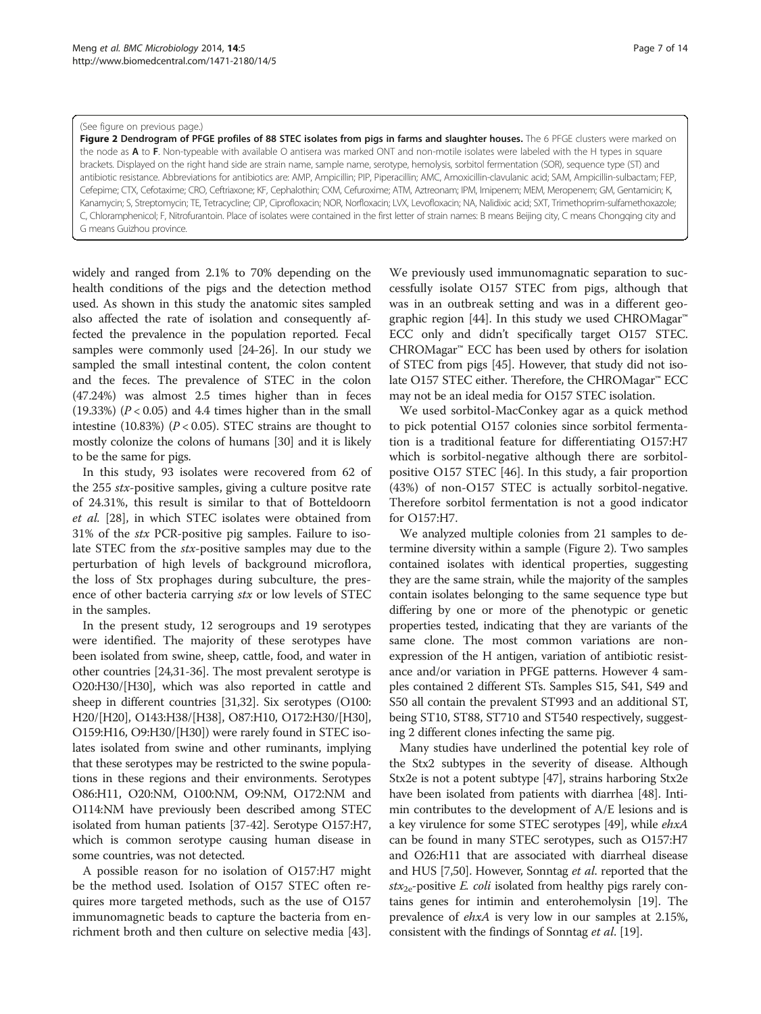#### <span id="page-6-0"></span>(See figure on previous page.)

Figure 2 Dendrogram of PFGE profiles of 88 STEC isolates from pigs in farms and slaughter houses. The 6 PFGE clusters were marked on the node as A to F. Non-typeable with available O antisera was marked ONT and non-motile isolates were labeled with the H types in square brackets. Displayed on the right hand side are strain name, sample name, serotype, hemolysis, sorbitol fermentation (SOR), sequence type (ST) and antibiotic resistance. Abbreviations for antibiotics are: AMP, Ampicillin; PIP, Piperacillin; AMC, Amoxicillin-clavulanic acid; SAM, Ampicillin-sulbactam; FEP, Cefepime; CTX, Cefotaxime; CRO, Ceftriaxone; KF, Cephalothin; CXM, Cefuroxime; ATM, Aztreonam; IPM, Imipenem; MEM, Meropenem; GM, Gentamicin; K, Kanamycin; S, Streptomycin; TE, Tetracycline; CIP, Ciprofloxacin; NOR, Norfloxacin; LVX, Levofloxacin; NA, Nalidixic acid; SXT, Trimethoprim-sulfamethoxazole; C, Chloramphenicol; F, Nitrofurantoin. Place of isolates were contained in the first letter of strain names: B means Beijing city, C means Chongqing city and G means Guizhou province.

widely and ranged from 2.1% to 70% depending on the health conditions of the pigs and the detection method used. As shown in this study the anatomic sites sampled also affected the rate of isolation and consequently affected the prevalence in the population reported. Fecal samples were commonly used [[24](#page-12-0)-[26](#page-12-0)]. In our study we sampled the small intestinal content, the colon content and the feces. The prevalence of STEC in the colon (47.24%) was almost 2.5 times higher than in feces (19.33%)  $(P < 0.05)$  and 4.4 times higher than in the small intestine (10.83%) ( $P < 0.05$ ). STEC strains are thought to mostly colonize the colons of humans [\[30](#page-12-0)] and it is likely to be the same for pigs.

In this study, 93 isolates were recovered from 62 of the 255 stx-positive samples, giving a culture positve rate of 24.31%, this result is similar to that of Botteldoorn et al. [[28\]](#page-12-0), in which STEC isolates were obtained from 31% of the stx PCR-positive pig samples. Failure to isolate STEC from the stx-positive samples may due to the perturbation of high levels of background microflora, the loss of Stx prophages during subculture, the presence of other bacteria carrying stx or low levels of STEC in the samples.

In the present study, 12 serogroups and 19 serotypes were identified. The majority of these serotypes have been isolated from swine, sheep, cattle, food, and water in other countries [[24,31](#page-12-0)-[36](#page-12-0)]. The most prevalent serotype is O20:H30/[H30], which was also reported in cattle and sheep in different countries [\[31,32](#page-12-0)]. Six serotypes (O100: H20/[H20], O143:H38/[H38], O87:H10, O172:H30/[H30], O159:H16, O9:H30/[H30]) were rarely found in STEC isolates isolated from swine and other ruminants, implying that these serotypes may be restricted to the swine populations in these regions and their environments. Serotypes O86:H11, O20:NM, O100:NM, O9:NM, O172:NM and O114:NM have previously been described among STEC isolated from human patients [[37](#page-12-0)-[42\]](#page-12-0). Serotype O157:H7, which is common serotype causing human disease in some countries, was not detected.

A possible reason for no isolation of O157:H7 might be the method used. Isolation of O157 STEC often requires more targeted methods, such as the use of O157 immunomagnetic beads to capture the bacteria from enrichment broth and then culture on selective media [\[43](#page-12-0)].

We previously used immunomagnatic separation to successfully isolate O157 STEC from pigs, although that was in an outbreak setting and was in a different geo-graphic region [\[44\]](#page-13-0). In this study we used CHROMagar<sup>™</sup> ECC only and didn't specifically target O157 STEC. CHROMagar™ ECC has been used by others for isolation of STEC from pigs [\[45\]](#page-13-0). However, that study did not isolate O157 STEC either. Therefore, the CHROMagar™ ECC may not be an ideal media for O157 STEC isolation.

We used sorbitol-MacConkey agar as a quick method to pick potential O157 colonies since sorbitol fermentation is a traditional feature for differentiating O157:H7 which is sorbitol-negative although there are sorbitolpositive O157 STEC [[46\]](#page-13-0). In this study, a fair proportion (43%) of non-O157 STEC is actually sorbitol-negative. Therefore sorbitol fermentation is not a good indicator for O157:H7.

We analyzed multiple colonies from 21 samples to determine diversity within a sample (Figure 2). Two samples contained isolates with identical properties, suggesting they are the same strain, while the majority of the samples contain isolates belonging to the same sequence type but differing by one or more of the phenotypic or genetic properties tested, indicating that they are variants of the same clone. The most common variations are nonexpression of the H antigen, variation of antibiotic resistance and/or variation in PFGE patterns. However 4 samples contained 2 different STs. Samples S15, S41, S49 and S50 all contain the prevalent ST993 and an additional ST, being ST10, ST88, ST710 and ST540 respectively, suggesting 2 different clones infecting the same pig.

Many studies have underlined the potential key role of the Stx2 subtypes in the severity of disease. Although Stx2e is not a potent subtype [[47](#page-13-0)], strains harboring Stx2e have been isolated from patients with diarrhea [[48](#page-13-0)]. Intimin contributes to the development of A/E lesions and is a key virulence for some STEC serotypes [\[49\]](#page-13-0), while ehxA can be found in many STEC serotypes, such as O157:H7 and O26:H11 that are associated with diarrheal disease and HUS [[7,](#page-12-0)[50](#page-13-0)]. However, Sonntag et al. reported that the  $stx_{2e}$ -positive *E. coli* isolated from healthy pigs rarely contains genes for intimin and enterohemolysin [[19](#page-12-0)]. The prevalence of ehxA is very low in our samples at 2.15%, consistent with the findings of Sonntag et al. [\[19\]](#page-12-0).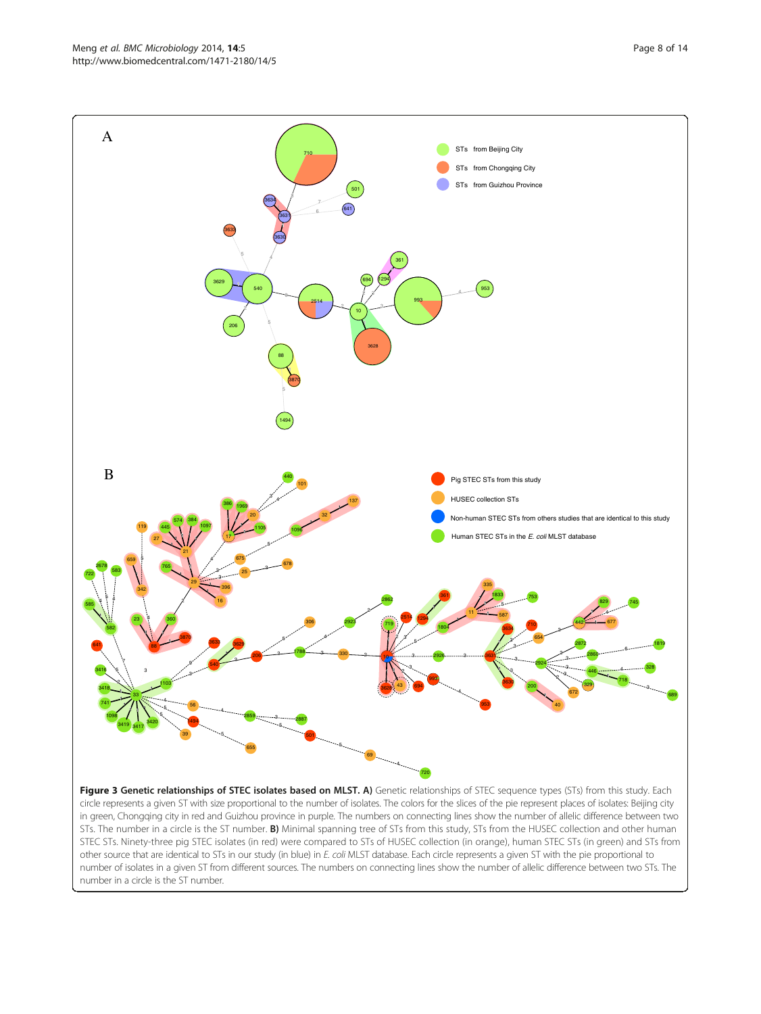<span id="page-7-0"></span>

circle represents a given ST with size proportional to the number of isolates. The colors for the slices of the pie represent places of isolates: Beijing city in green, Chongqing city in red and Guizhou province in purple. The numbers on connecting lines show the number of allelic difference between two STs. The number in a circle is the ST number. B) Minimal spanning tree of STs from this study, STs from the HUSEC collection and other human STEC STs. Ninety-three pig STEC isolates (in red) were compared to STs of HUSEC collection (in orange), human STEC STs (in green) and STs from other source that are identical to STs in our study (in blue) in E. coli MLST database. Each circle represents a given ST with the pie proportional to number of isolates in a given ST from different sources. The numbers on connecting lines show the number of allelic difference between two STs. The number in a circle is the ST number.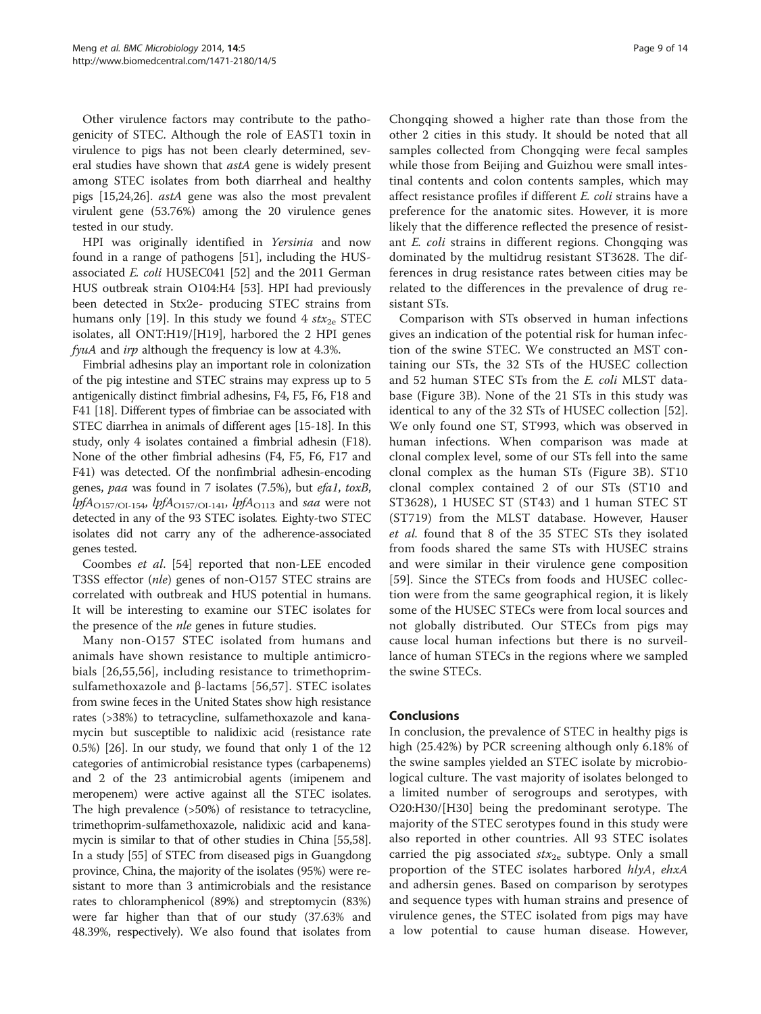Other virulence factors may contribute to the pathogenicity of STEC. Although the role of EAST1 toxin in virulence to pigs has not been clearly determined, several studies have shown that *astA* gene is widely present among STEC isolates from both diarrheal and healthy pigs [[15](#page-12-0),[24](#page-12-0),[26](#page-12-0)]. astA gene was also the most prevalent virulent gene (53.76%) among the 20 virulence genes tested in our study.

HPI was originally identified in Yersinia and now found in a range of pathogens [[51\]](#page-13-0), including the HUSassociated E. coli HUSEC041 [\[52\]](#page-13-0) and the 2011 German HUS outbreak strain O104:H4 [\[53\]](#page-13-0). HPI had previously been detected in Stx2e- producing STEC strains from humans only [\[19](#page-12-0)]. In this study we found 4  $\text{str}_{2e}$  STEC isolates, all ONT:H19/[H19], harbored the 2 HPI genes fyuA and irp although the frequency is low at 4.3%.

Fimbrial adhesins play an important role in colonization of the pig intestine and STEC strains may express up to 5 antigenically distinct fimbrial adhesins, F4, F5, F6, F18 and F41 [\[18\]](#page-12-0). Different types of fimbriae can be associated with STEC diarrhea in animals of different ages [[15](#page-12-0)-[18](#page-12-0)]. In this study, only 4 isolates contained a fimbrial adhesin (F18). None of the other fimbrial adhesins (F4, F5, F6, F17 and F41) was detected. Of the nonfimbrial adhesin-encoding genes, paa was found in 7 isolates (7.5%), but efa1, toxB, lpfA<sub>O157/OI-154</sub>, lpfA<sub>O157/OI-141</sub>, lpfA<sub>O113</sub> and saa were not detected in any of the 93 STEC isolates. Eighty-two STEC isolates did not carry any of the adherence-associated genes tested.

Coombes et al. [[54\]](#page-13-0) reported that non-LEE encoded T3SS effector (nle) genes of non-O157 STEC strains are correlated with outbreak and HUS potential in humans. It will be interesting to examine our STEC isolates for the presence of the *nle* genes in future studies.

Many non-O157 STEC isolated from humans and animals have shown resistance to multiple antimicrobials [[26](#page-12-0),[55,56](#page-13-0)], including resistance to trimethoprimsulfamethoxazole and β-lactams [[56](#page-13-0),[57\]](#page-13-0). STEC isolates from swine feces in the United States show high resistance rates (>38%) to tetracycline, sulfamethoxazole and kanamycin but susceptible to nalidixic acid (resistance rate 0.5%) [\[26\]](#page-12-0). In our study, we found that only 1 of the 12 categories of antimicrobial resistance types (carbapenems) and 2 of the 23 antimicrobial agents (imipenem and meropenem) were active against all the STEC isolates. The high prevalence (>50%) of resistance to tetracycline, trimethoprim-sulfamethoxazole, nalidixic acid and kanamycin is similar to that of other studies in China [\[55,58](#page-13-0)]. In a study [\[55\]](#page-13-0) of STEC from diseased pigs in Guangdong province, China, the majority of the isolates (95%) were resistant to more than 3 antimicrobials and the resistance rates to chloramphenicol (89%) and streptomycin (83%) were far higher than that of our study (37.63% and 48.39%, respectively). We also found that isolates from

Chongqing showed a higher rate than those from the other 2 cities in this study. It should be noted that all samples collected from Chongqing were fecal samples while those from Beijing and Guizhou were small intestinal contents and colon contents samples, which may affect resistance profiles if different E. coli strains have a preference for the anatomic sites. However, it is more likely that the difference reflected the presence of resistant E. coli strains in different regions. Chongqing was dominated by the multidrug resistant ST3628. The differences in drug resistance rates between cities may be related to the differences in the prevalence of drug resistant STs.

Comparison with STs observed in human infections gives an indication of the potential risk for human infection of the swine STEC. We constructed an MST containing our STs, the 32 STs of the HUSEC collection and 52 human STEC STs from the E. coli MLST database (Figure [3B](#page-7-0)). None of the 21 STs in this study was identical to any of the 32 STs of HUSEC collection [\[52](#page-13-0)]. We only found one ST, ST993, which was observed in human infections. When comparison was made at clonal complex level, some of our STs fell into the same clonal complex as the human STs (Figure [3](#page-7-0)B). ST10 clonal complex contained 2 of our STs (ST10 and ST3628), 1 HUSEC ST (ST43) and 1 human STEC ST (ST719) from the MLST database. However, Hauser et al. found that 8 of the 35 STEC STs they isolated from foods shared the same STs with HUSEC strains and were similar in their virulence gene composition [[59](#page-13-0)]. Since the STECs from foods and HUSEC collection were from the same geographical region, it is likely some of the HUSEC STECs were from local sources and not globally distributed. Our STECs from pigs may cause local human infections but there is no surveillance of human STECs in the regions where we sampled the swine STECs.

## Conclusions

In conclusion, the prevalence of STEC in healthy pigs is high (25.42%) by PCR screening although only 6.18% of the swine samples yielded an STEC isolate by microbiological culture. The vast majority of isolates belonged to a limited number of serogroups and serotypes, with O20:H30/[H30] being the predominant serotype. The majority of the STEC serotypes found in this study were also reported in other countries. All 93 STEC isolates carried the pig associated  $stx_{2e}$  subtype. Only a small proportion of the STEC isolates harbored hlyA, ehxA and adhersin genes. Based on comparison by serotypes and sequence types with human strains and presence of virulence genes, the STEC isolated from pigs may have a low potential to cause human disease. However,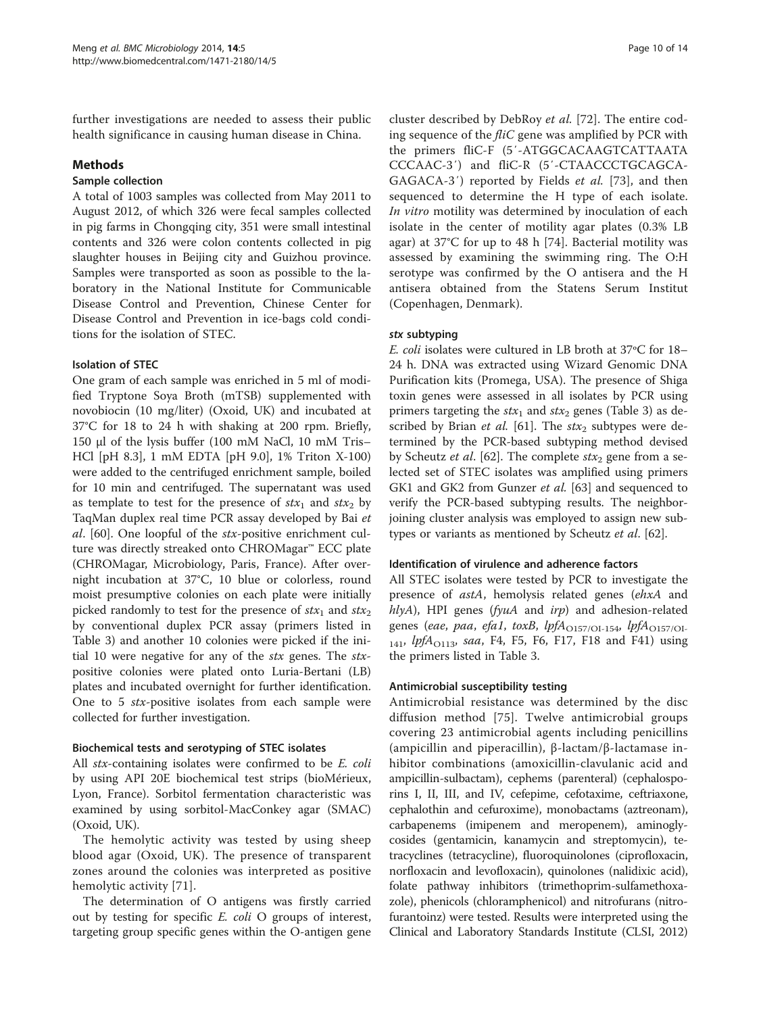further investigations are needed to assess their public health significance in causing human disease in China.

## Methods

#### Sample collection

A total of 1003 samples was collected from May 2011 to August 2012, of which 326 were fecal samples collected in pig farms in Chongqing city, 351 were small intestinal contents and 326 were colon contents collected in pig slaughter houses in Beijing city and Guizhou province. Samples were transported as soon as possible to the laboratory in the National Institute for Communicable Disease Control and Prevention, Chinese Center for Disease Control and Prevention in ice-bags cold conditions for the isolation of STEC.

## Isolation of STEC

One gram of each sample was enriched in 5 ml of modified Tryptone Soya Broth (mTSB) supplemented with novobiocin (10 mg/liter) (Oxoid, UK) and incubated at 37°C for 18 to 24 h with shaking at 200 rpm. Briefly, 150 μl of the lysis buffer (100 mM NaCl, 10 mM Tris– HCl [pH 8.3], 1 mM EDTA [pH 9.0], 1% Triton X-100) were added to the centrifuged enrichment sample, boiled for 10 min and centrifuged. The supernatant was used as template to test for the presence of  $stx_1$  and  $stx_2$  by TaqMan duplex real time PCR assay developed by Bai et al. [[60](#page-13-0)]. One loopful of the stx-positive enrichment culture was directly streaked onto CHROMagar™ ECC plate (CHROMagar, Microbiology, Paris, France). After overnight incubation at 37°C, 10 blue or colorless, round moist presumptive colonies on each plate were initially picked randomly to test for the presence of  $stx_1$  and  $stx_2$ by conventional duplex PCR assay (primers listed in Table [3](#page-10-0)) and another 10 colonies were picked if the initial 10 were negative for any of the stx genes. The stxpositive colonies were plated onto Luria-Bertani (LB) plates and incubated overnight for further identification. One to 5 stx-positive isolates from each sample were collected for further investigation.

## Biochemical tests and serotyping of STEC isolates

All *stx*-containing isolates were confirmed to be *E. coli* by using API 20E biochemical test strips (bioMérieux, Lyon, France). Sorbitol fermentation characteristic was examined by using sorbitol-MacConkey agar (SMAC) (Oxoid, UK).

The hemolytic activity was tested by using sheep blood agar (Oxoid, UK). The presence of transparent zones around the colonies was interpreted as positive hemolytic activity [[71](#page-13-0)].

The determination of O antigens was firstly carried out by testing for specific  $E$ . coli  $\bigcirc$  groups of interest, targeting group specific genes within the O-antigen gene

cluster described by DebRoy et al. [[72](#page-13-0)]. The entire coding sequence of the  $flic$  gene was amplified by PCR with the primers fliC-F (5′-ATGGCACAAGTCATTAATA CCCAAC-3′) and fliC-R (5′-CTAACCCTGCAGCA-GAGACA-3′) reported by Fields et al. [\[73](#page-13-0)], and then sequenced to determine the H type of each isolate. In vitro motility was determined by inoculation of each isolate in the center of motility agar plates (0.3% LB agar) at 37°C for up to 48 h [[74](#page-13-0)]. Bacterial motility was assessed by examining the swimming ring. The O:H serotype was confirmed by the O antisera and the H antisera obtained from the Statens Serum Institut (Copenhagen, Denmark).

## stx subtyping

E. coli isolates were cultured in LB broth at 37ºC for 18– 24 h. DNA was extracted using Wizard Genomic DNA Purification kits (Promega, USA). The presence of Shiga toxin genes were assessed in all isolates by PCR using primers targeting the  $stx_1$  and  $stx_2$  genes (Table [3\)](#page-10-0) as described by Brian *et al.* [\[61\]](#page-13-0). The  $\text{stx}_2$  subtypes were determined by the PCR-based subtyping method devised by Scheutz et al. [[62\]](#page-13-0). The complete  $\text{str}_2$  gene from a selected set of STEC isolates was amplified using primers GK1 and GK2 from Gunzer et al. [\[63](#page-13-0)] and sequenced to verify the PCR-based subtyping results. The neighborjoining cluster analysis was employed to assign new sub-types or variants as mentioned by Scheutz et al. [[62](#page-13-0)].

## Identification of virulence and adherence factors

All STEC isolates were tested by PCR to investigate the presence of astA, hemolysis related genes (ehxA and  $hlyA$ ), HPI genes ( $fyuA$  and  $irp$ ) and adhesion-related genes (eae, paa, efa1, toxB, lpf $A_{O157/OI-154}$ , lpf $A_{O157/OI-154}$  $_{141}$ , *lpfA*<sub>O113</sub>, *saa*, F4, F5, F6, F17, F18 and F41) using the primers listed in Table [3](#page-10-0).

## Antimicrobial susceptibility testing

Antimicrobial resistance was determined by the disc diffusion method [[75\]](#page-13-0). Twelve antimicrobial groups covering 23 antimicrobial agents including penicillins (ampicillin and piperacillin), β-lactam/β-lactamase inhibitor combinations (amoxicillin-clavulanic acid and ampicillin-sulbactam), cephems (parenteral) (cephalosporins I, II, III, and IV, cefepime, cefotaxime, ceftriaxone, cephalothin and cefuroxime), monobactams (aztreonam), carbapenems (imipenem and meropenem), aminoglycosides (gentamicin, kanamycin and streptomycin), tetracyclines (tetracycline), fluoroquinolones (ciprofloxacin, norfloxacin and levofloxacin), quinolones (nalidixic acid), folate pathway inhibitors (trimethoprim-sulfamethoxazole), phenicols (chloramphenicol) and nitrofurans (nitrofurantoinz) were tested. Results were interpreted using the Clinical and Laboratory Standards Institute (CLSI, 2012)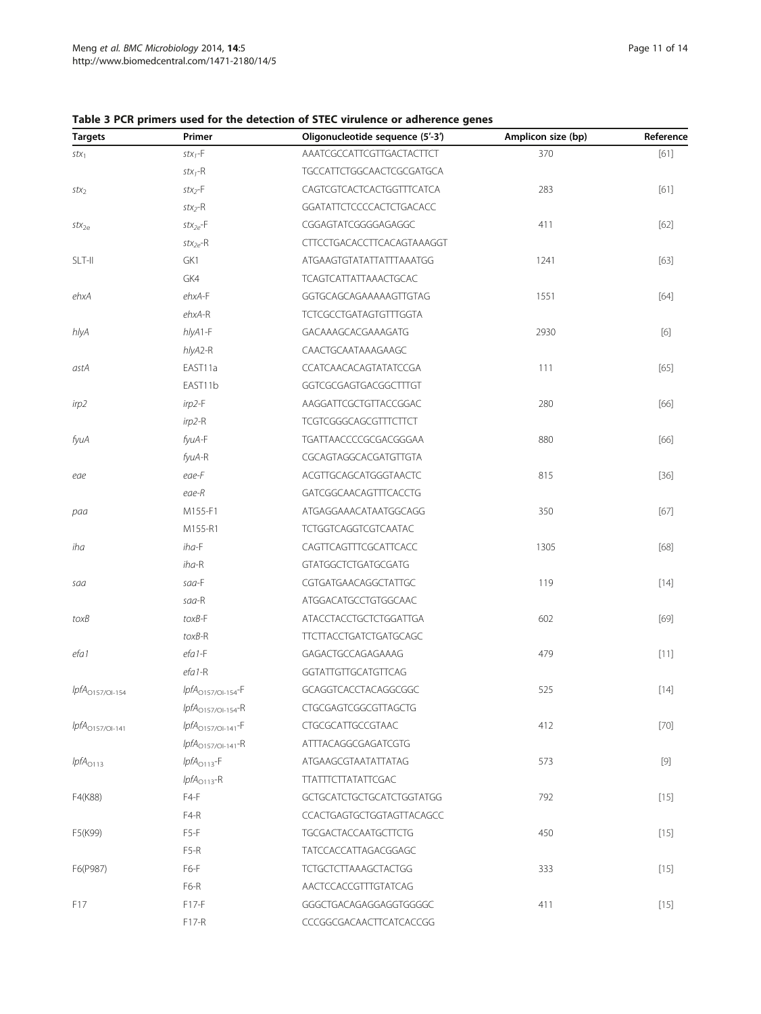<span id="page-10-0"></span>

| <b>Targets</b>       | Primer                  | Oligonucleotide sequence (5'-3') | Amplicon size (bp) | Reference |
|----------------------|-------------------------|----------------------------------|--------------------|-----------|
| $stx_1$              | $stx_1-F$               | AAATCGCCATTCGTTGACTACTTCT        | 370                | $[61]$    |
|                      | $stx_1-R$               | <b>TGCCATTCTGGCAACTCGCGATGCA</b> |                    |           |
| $stx_2$              | $stx_2-F$               | CAGTCGTCACTCACTGGTTTCATCA        | 283                | $[61]$    |
|                      | $stx_2-R$               | GGATATTCTCCCCACTCTGACACC         |                    |           |
| $\mathsf{stx}_{2e}$  | $stx_{2e}$ -F           | CGGAGTATCGGGGAGAGGC              | 411                | $[62]$    |
|                      | $stx_{2e}$ -R           | CTTCCTGACACCTTCACAGTAAAGGT       |                    |           |
| SLT-II               | GK1                     | ATGAAGTGTATATTATTTAAATGG         | 1241               | $[63]$    |
|                      | GK4                     | <b>TCAGTCATTATTAAACTGCAC</b>     |                    |           |
| ehxA                 | $ehxA-F$                | GGTGCAGCAGAAAAAGTTGTAG           | 1551               | $[64]$    |
|                      | $ehxA-R$                | <b>TCTCGCCTGATAGTGTTTGGTA</b>    |                    |           |
| hlyA                 | hlyA1-F                 | GACAAAGCACGAAAGATG               | 2930               | $[6]$     |
|                      | hlyA2-R                 | CAACTGCAATAAAGAAGC               |                    |           |
| astA                 | EAST11a                 | CCATCAACACAGTATATCCGA            | 111                | [65]      |
|                      | EAST11b                 | GGTCGCGAGTGACGGCTTTGT            |                    |           |
| irp2                 | $irp2-F$                | AAGGATTCGCTGTTACCGGAC            | 280                | $[66]$    |
|                      | $irp2-R$                | <b>TCGTCGGGCAGCGTTTCTTCT</b>     |                    |           |
| fyuA                 | fyuA-F                  | TGATTAACCCCGCGACGGGAA            | 880                | [66]      |
|                      | fyuA-R                  | CGCAGTAGGCACGATGTTGTA            |                    |           |
| eae                  | eae-F                   | ACGTTGCAGCATGGGTAACTC            | 815                | $[36]$    |
|                      | eae-R                   | GATCGGCAACAGTTTCACCTG            |                    |           |
| paa                  | M155-F1                 | ATGAGGAAACATAATGGCAGG            | 350                | $[67]$    |
|                      | M155-R1                 | <b>TCTGGTCAGGTCGTCAATAC</b>      |                    |           |
| iha                  | $iha-F$                 | CAGTTCAGTTTCGCATTCACC            | 1305               | [68]      |
|                      | $iha-R$                 | <b>GTATGGCTCTGATGCGATG</b>       |                    |           |
| saa                  | $saa-F$                 | CGTGATGAACAGGCTATTGC             | 119                | $[14]$    |
|                      | saa-R                   | ATGGACATGCCTGTGGCAAC             |                    |           |
| toxB                 | $to xB-F$               | <b>ATACCTACCTGCTCTGGATTGA</b>    | 602                | $[69]$    |
|                      | $toxB-R$                | <b>TTCTTACCTGATCTGATGCAGC</b>    |                    |           |
| efa 1                | $efa1-F$                | GAGACTGCCAGAGAAAG                | 479                | [11]      |
|                      | $efa1-R$                | GGTATTGTTGCATGTTCAG              |                    |           |
| $lpfAO157/Ol-154$    | $lpfA_{O157/Ol-154}$ -F | GCAGGTCACCTACAGGCGGC             | 525                | $[14]$    |
|                      | $lpfA_{O157/Ol-154}$ -R | CTGCGAGTCGGCGTTAGCTG             |                    |           |
| $lpfA_{O157/Ol-141}$ | $lpfA_{O157/Ol-141}$ -F | CTGCGCATTGCCGTAAC                | 412                | $[70]$    |
|                      | $lpfAO157/Ol-141-R$     | ATTTACAGGCGAGATCGTG              |                    |           |
| $lpfA_{O113}$        | $lpfA_{O113}$ -F        | ATGAAGCGTAATATTATAG              | 573                |           |
|                      | $lpfA_{O113}$ -R        | <b>TTATTTCTTATATTCGAC</b>        |                    |           |
| F4(K88)              | F4-F                    | GCTGCATCTGCTGCATCTGGTATGG        | 792                | $[15]$    |
|                      | F4-R                    | CCACTGAGTGCTGGTAGTTACAGCC        |                    |           |
| F5(K99)              | $F5-F$                  | <b>TGCGACTACCAATGCTTCTG</b>      | 450                | $[15]$    |
|                      | F5-R                    | TATCCACCATTAGACGGAGC             |                    |           |
| F6(P987)             | F6-F                    | <b>TCTGCTCTTAAAGCTACTGG</b>      | 333                | $[15]$    |
|                      | F6-R                    | AACTCCACCGTTTGTATCAG             |                    |           |
| F17                  | F17-F                   | GGGCTGACAGAGGAGGTGGGGC           | 411                | $[15]$    |
|                      | F17-R                   | CCCGGCGACAACTTCATCACCGG          |                    |           |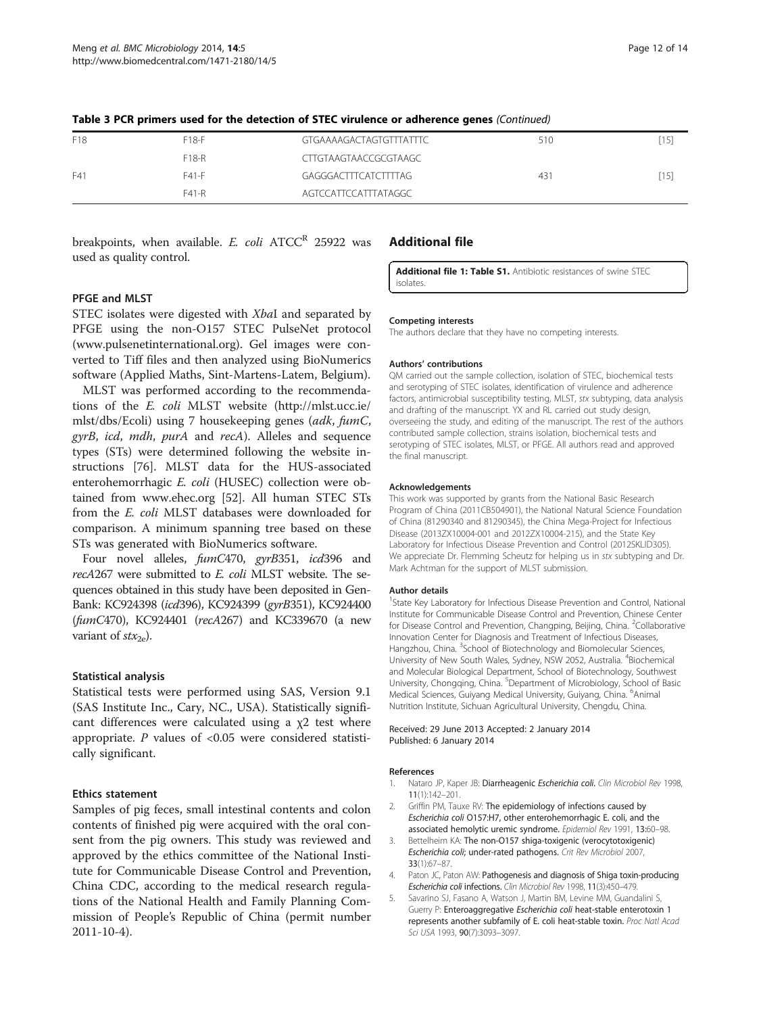| F18 | $F18-F$ | GTGAAAAGACTAGTGTTTATTTC | 510 |  |
|-----|---------|-------------------------|-----|--|
|     | F18-R   | CTTGTAAGTAACCGCGTAAGC   |     |  |
| F41 | F41-F   | GAGGGACTTTCATCTTTTAG    | 431 |  |
|     | F41-R   | AGTCCATTCCATTTATAGGC    |     |  |

<span id="page-11-0"></span>Table 3 PCR primers used for the detection of STEC virulence or adherence genes (Continued)

breakpoints, when available. E. coli  $ATCC^R$  25922 was used as quality control.

#### Additional file

[Additional file 1: Table S1.](http://www.biomedcentral.com/content/supplementary/1471-2180-14-5-S1.docx) Antibiotic resistances of swine STEC isolates.

#### PFGE and MLST

STEC isolates were digested with XbaI and separated by PFGE using the non-O157 STEC PulseNet protocol ([www.pulsenetinternational.org\)](www.pulsenetinternational.org). Gel images were converted to Tiff files and then analyzed using BioNumerics software (Applied Maths, Sint-Martens-Latem, Belgium).

MLST was performed according to the recommendations of the E. coli MLST website ([http://mlst.ucc.ie/](http://mlst.ucc.ie/mlst/dbs/Ecoli) [mlst/dbs/Ecoli\)](http://mlst.ucc.ie/mlst/dbs/Ecoli) using 7 housekeeping genes (adk, fumC, gyrB, icd, mdh, purA and recA). Alleles and sequence types (STs) were determined following the website instructions [\[76](#page-13-0)]. MLST data for the HUS-associated enterohemorrhagic E. coli (HUSEC) collection were obtained from [www.ehec.org](http://www.ehec.org) [[52](#page-13-0)]. All human STEC STs from the E. coli MLST databases were downloaded for comparison. A minimum spanning tree based on these STs was generated with BioNumerics software.

Four novel alleles, fumC470, gyrB351, icd396 and recA267 were submitted to E. coli MLST website. The sequences obtained in this study have been deposited in Gen-Bank: KC924398 (icd396), KC924399 (gyrB351), KC924400 (fumC470), KC924401 (recA267) and KC339670 (a new variant of  $f(x_2)$ .

#### Statistical analysis

Statistical tests were performed using SAS, Version 9.1 (SAS Institute Inc., Cary, NC., USA). Statistically significant differences were calculated using a  $\chi$ 2 test where appropriate.  $P$  values of <0.05 were considered statistically significant.

#### Ethics statement

Samples of pig feces, small intestinal contents and colon contents of finished pig were acquired with the oral consent from the pig owners. This study was reviewed and approved by the ethics committee of the National Institute for Communicable Disease Control and Prevention, China CDC, according to the medical research regulations of the National Health and Family Planning Commission of People's Republic of China (permit number 2011-10-4).

#### Competing interests

The authors declare that they have no competing interests.

#### Authors' contributions

QM carried out the sample collection, isolation of STEC, biochemical tests and serotyping of STEC isolates, identification of virulence and adherence factors, antimicrobial susceptibility testing, MLST, stx subtyping, data analysis and drafting of the manuscript. YX and RL carried out study design, overseeing the study, and editing of the manuscript. The rest of the authors contributed sample collection, strains isolation, biochemical tests and serotyping of STEC isolates, MLST, or PFGE. All authors read and approved the final manuscript.

#### Acknowledgements

This work was supported by grants from the National Basic Research Program of China (2011CB504901), the National Natural Science Foundation of China (81290340 and 81290345), the China Mega-Project for Infectious Disease (2013ZX10004-001 and 2012ZX10004-215), and the State Key Laboratory for Infectious Disease Prevention and Control (2012SKLID305). We appreciate Dr. Flemming Scheutz for helping us in stx subtyping and Dr. Mark Achtman for the support of MLST submission.

#### Author details

<sup>1</sup>State Key Laboratory for Infectious Disease Prevention and Control, National Institute for Communicable Disease Control and Prevention, Chinese Center for Disease Control and Prevention, Changping, Beijing, China. <sup>2</sup>Collaborative Innovation Center for Diagnosis and Treatment of Infectious Diseases, Hangzhou, China. <sup>3</sup>School of Biotechnology and Biomolecular Sciences, University of New South Wales, Sydney, NSW 2052, Australia. <sup>4</sup>Biochemical and Molecular Biological Department, School of Biotechnology, Southwest University, Chongqing, China. <sup>5</sup>Department of Microbiology, School of Basic Medical Sciences, Guiyang Medical University, Guiyang, China. <sup>6</sup>Animal Nutrition Institute, Sichuan Agricultural University, Chengdu, China.

#### Received: 29 June 2013 Accepted: 2 January 2014 Published: 6 January 2014

#### References

- 1. Nataro JP, Kaper JB: Diarrheagenic Escherichia coli. Clin Microbiol Rev 1998, 11(1):142–201.
- 2. Griffin PM, Tauxe RV: The epidemiology of infections caused by Escherichia coli O157:H7, other enterohemorrhagic E. coli, and the associated hemolytic uremic syndrome. Epidemiol Rev 1991, 13:60–98.
- Bettelheim KA: The non-O157 shiga-toxigenic (verocytotoxigenic) Escherichia coli; under-rated pathogens. Crit Rev Microbiol 2007, 33(1):67–87.
- 4. Paton JC, Paton AW: Pathogenesis and diagnosis of Shiga toxin-producing Escherichia coli infections. Clin Microbiol Rev 1998, 11(3):450–479.
- 5. Savarino SJ, Fasano A, Watson J, Martin BM, Levine MM, Guandalini S, Guerry P: Enteroaggregative Escherichia coli heat-stable enterotoxin 1 represents another subfamily of E. coli heat-stable toxin. Proc Natl Acad Sci USA 1993, 90(7):3093–3097.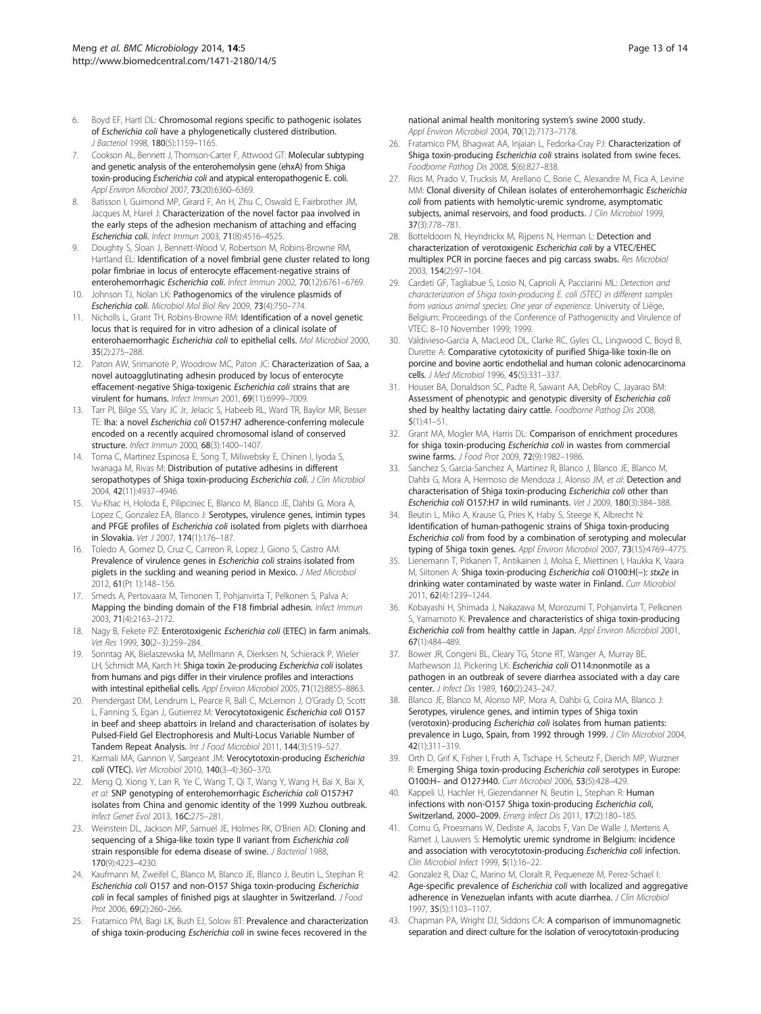- <span id="page-12-0"></span>6. Boyd EF, Hartl DL: Chromosomal regions specific to pathogenic isolates of Escherichia coli have a phylogenetically clustered distribution. J Bacteriol 1998, 180(5):1159–1165.
- 7. Cookson AL, Bennett J, Thomson-Carter F, Attwood GT: Molecular subtyping and genetic analysis of the enterohemolysin gene (ehxA) from Shiga toxin-producing Escherichia coli and atypical enteropathogenic E. coli. Appl Environ Microbiol 2007, 73(20):6360–6369.
- Batisson I, Guimond MP, Girard F, An H, Zhu C, Oswald E, Fairbrother JM, Jacques M, Harel J: Characterization of the novel factor paa involved in the early steps of the adhesion mechanism of attaching and effacing Escherichia coli. Infect Immun 2003, 71(8):4516–4525.
- 9. Doughty S, Sloan J, Bennett-Wood V, Robertson M, Robins-Browne RM, Hartland EL: Identification of a novel fimbrial gene cluster related to long polar fimbriae in locus of enterocyte effacement-negative strains of enterohemorrhagic Escherichia coli. Infect Immun 2002, 70(12):6761–6769.
- 10. Johnson TJ, Nolan LK: Pathogenomics of the virulence plasmids of Escherichia coli. Microbiol Mol Biol Rev 2009, 73(4):750–774.
- 11. Nicholls L, Grant TH, Robins-Browne RM: Identification of a novel genetic locus that is required for in vitro adhesion of a clinical isolate of enterohaemorrhagic Escherichia coli to epithelial cells. Mol Microbiol 2000, 35(2):275–288.
- 12. Paton AW, Srimanote P, Woodrow MC, Paton JC: Characterization of Saa, a novel autoagglutinating adhesin produced by locus of enterocyte effacement-negative Shiga-toxigenic Escherichia coli strains that are virulent for humans. Infect Immun 2001, 69(11):6999–7009.
- 13. Tarr PI, Bilge SS, Vary JC Jr, Jelacic S, Habeeb RL, Ward TR, Baylor MR, Besser TE: Iha: a novel Escherichia coli O157:H7 adherence-conferring molecule encoded on a recently acquired chromosomal island of conserved structure. Infect Immun 2000, 68(3):1400–1407.
- 14. Toma C, Martinez Espinosa E, Song T, Miliwebsky E, Chinen I, Iyoda S, Iwanaga M, Rivas M: Distribution of putative adhesins in different seropathotypes of Shiga toxin-producing Escherichia coli. J Clin Microbiol 2004, 42(11):4937–4946.
- 15. Vu-Khac H, Holoda E, Pilipcinec E, Blanco M, Blanco JE, Dahbi G, Mora A, Lopez C, Gonzalez EA, Blanco J: Serotypes, virulence genes, intimin types and PFGE profiles of Escherichia coli isolated from piglets with diarrhoea in Slovakia. Vet J 2007, 174(1):176–187.
- 16. Toledo A, Gomez D, Cruz C, Carreon R, Lopez J, Giono S, Castro AM: Prevalence of virulence genes in Escherichia coli strains isolated from piglets in the suckling and weaning period in Mexico. J Med Microbiol 2012, 61(Pt 1):148–156.
- 17. Smeds A, Pertovaara M, Timonen T, Pohjanvirta T, Pelkonen S, Palva A: Mapping the binding domain of the F18 fimbrial adhesin. Infect Immun 2003, 71(4):2163–2172.
- 18. Nagy B, Fekete PZ: Enterotoxigenic Escherichia coli (ETEC) in farm animals. Vet Res 1999, 30(2–3):259–284.
- 19. Sonntag AK, Bielaszewska M, Mellmann A, Dierksen N, Schierack P, Wieler LH, Schmidt MA, Karch H: Shiga toxin 2e-producing Escherichia coli isolates from humans and pigs differ in their virulence profiles and interactions with intestinal epithelial cells. Appl Environ Microbiol 2005, 71(12):8855-8863.
- 20. Prendergast DM, Lendrum L, Pearce R, Ball C, McLernon J, O'Grady D, Scott L, Fanning S, Egan J, Gutierrez M: Verocytotoxigenic Escherichia coli O157 in beef and sheep abattoirs in Ireland and characterisation of isolates by Pulsed-Field Gel Electrophoresis and Multi-Locus Variable Number of Tandem Repeat Analysis. Int J Food Microbiol 2011, 144(3):519–527.
- 21. Karmali MA, Gannon V, Sargeant JM: Verocytotoxin-producing Escherichia coli (VTEC). Vet Microbiol 2010, 140(3–4):360–370.
- 22. Meng Q, Xiong Y, Lan R, Ye C, Wang T, Qi T, Wang Y, Wang H, Bai X, Bai X, et al: SNP genotyping of enterohemorrhagic Escherichia coli O157:H7 isolates from China and genomic identity of the 1999 Xuzhou outbreak. Infect Genet Evol 2013, 16C:275–281.
- 23. Weinstein DL, Jackson MP, Samuel JE, Holmes RK, O'Brien AD: Cloning and sequencing of a Shiga-like toxin type II variant from Escherichia coli strain responsible for edema disease of swine. J Bacteriol 1988, 170(9):4223–4230.
- 24. Kaufmann M, Zweifel C, Blanco M, Blanco JE, Blanco J, Beutin L, Stephan R: Escherichia coli O157 and non-O157 Shiga toxin-producing Escherichia coli in fecal samples of finished pigs at slaughter in Switzerland. J Food Prot 2006, 69(2):260–266.
- 25. Fratamico PM, Bagi LK, Bush EJ, Solow BT: Prevalence and characterization of shiga toxin-producing Escherichia coli in swine feces recovered in the

national animal health monitoring system's swine 2000 study. Appl Environ Microbiol 2004, 70(12):7173–7178.

- 26. Fratamico PM, Bhagwat AA, Injaian L, Fedorka-Cray PJ: Characterization of Shiga toxin-producing Escherichia coli strains isolated from swine feces. Foodborne Pathog Dis 2008, 5(6):827–838.
- 27. Rios M, Prado V, Trucksis M, Arellano C, Borie C, Alexandre M, Fica A, Levine MM: Clonal diversity of Chilean isolates of enterohemorrhagic Escherichia coli from patients with hemolytic-uremic syndrome, asymptomatic subjects, animal reservoirs, and food products. J Clin Microbiol 1999, 37(3):778–781.
- 28. Botteldoorn N, Heyndrickx M, Rijpens N, Herman L: Detection and characterization of verotoxigenic Escherichia coli by a VTEC/EHEC multiplex PCR in porcine faeces and pig carcass swabs. Res Microbiol 2003, 154(2):97–104.
- 29. Cardeti GF, Tagliabue S, Losio N, Caprioli A, Pacciarini ML: Detection and characterization of Shiga toxin-producing E. coli (STEC) in different samples from various animal species: One year of experience. University of Liège, Belgium: Proceedings of the Conference of Pathogenicity and Virulence of VTEC: 8–10 November 1999; 1999.
- 30. Valdivieso-Garcia A, MacLeod DL, Clarke RC, Gyles CL, Lingwood C, Boyd B, Durette A: Comparative cytotoxicity of purified Shiga-like toxin-IIe on porcine and bovine aortic endothelial and human colonic adenocarcinoma cells. J Med Microbiol 1996, 45(5):331–337.
- 31. Houser BA, Donaldson SC, Padte R, Sawant AA, DebRoy C, Jayarao BM: Assessment of phenotypic and genotypic diversity of Escherichia coli shed by healthy lactating dairy cattle. Foodborne Pathog Dis 2008, 5(1):41–51.
- 32. Grant MA, Mogler MA, Harris DL: Comparison of enrichment procedures for shiga toxin-producing Escherichia coli in wastes from commercial swine farms. J Food Prot 2009, 72(9):1982–1986.
- 33. Sanchez S, Garcia-Sanchez A, Martinez R, Blanco J, Blanco JE, Blanco M, Dahbi G, Mora A, Hermoso de Mendoza J, Alonso JM, et al: Detection and characterisation of Shiga toxin-producing Escherichia coli other than Escherichia coli O157:H7 in wild ruminants. Vet J 2009, 180(3):384–388.
- 34. Beutin L, Miko A, Krause G, Pries K, Haby S, Steege K, Albrecht N: Identification of human-pathogenic strains of Shiga toxin-producing Escherichia coli from food by a combination of serotyping and molecular typing of Shiga toxin genes. Appl Environ Microbiol 2007, 73(15):4769-4775.
- Lienemann T, Pitkanen T, Antikainen J, Molsa E, Miettinen I, Haukka K, Vaara M, Siitonen A: Shiga toxin-producing Escherichia coli O100:H(−): stx2e in drinking water contaminated by waste water in Finland. Curr Microbiol 2011, 62(4):1239–1244.
- 36. Kobayashi H, Shimada J, Nakazawa M, Morozumi T, Pohjanvirta T, Pelkonen S, Yamamoto K: Prevalence and characteristics of shiga toxin-producing Escherichia coli from healthy cattle in Japan. Appl Environ Microbiol 2001, 67(1):484–489.
- 37. Bower JR, Congeni BL, Cleary TG, Stone RT, Wanger A, Murray BE, Mathewson JJ, Pickering LK: Escherichia coli O114:nonmotile as a pathogen in an outbreak of severe diarrhea associated with a day care center. J Infect Dis 1989, 160(2):243-247.
- 38. Blanco JE, Blanco M, Alonso MP, Mora A, Dahbi G, Coira MA, Blanco J: Serotypes, virulence genes, and intimin types of Shiga toxin (verotoxin)-producing Escherichia coli isolates from human patients: prevalence in Lugo, Spain, from 1992 through 1999. J Clin Microbiol 2004, 42(1):311–319.
- 39. Orth D, Grif K, Fisher I, Fruth A, Tschape H, Scheutz F, Dierich MP, Wurzner R: Emerging Shiga toxin-producing Escherichia coli serotypes in Europe: O100:H– and O127:H40. Curr Microbiol 2006, 53(5):428–429.
- 40. Kappeli U, Hachler H, Giezendanner N, Beutin L, Stephan R: Human infections with non-O157 Shiga toxin-producing Escherichia coli, Switzerland, 2000-2009. Emerg Infect Dis 2011, 17(2):180-185.
- 41. Cornu G, Proesmans W, Dediste A, Jacobs F, Van De Walle J, Mertens A, Ramet J, Lauwers S: Hemolytic uremic syndrome in Belgium: incidence and association with verocytotoxin-producing Escherichia coli infection. Clin Microbiol Infect 1999, 5(1):16–22.
- 42. Gonzalez R, Diaz C, Marino M, Cloralt R, Pequeneze M, Perez-Schael I: Age-specific prevalence of Escherichia coli with localized and aggregative adherence in Venezuelan infants with acute diarrhea. J Clin Microbiol 1997, 35(5):1103–1107.
- 43. Chapman PA, Wright DJ, Siddons CA: A comparison of immunomagnetic separation and direct culture for the isolation of verocytotoxin-producing